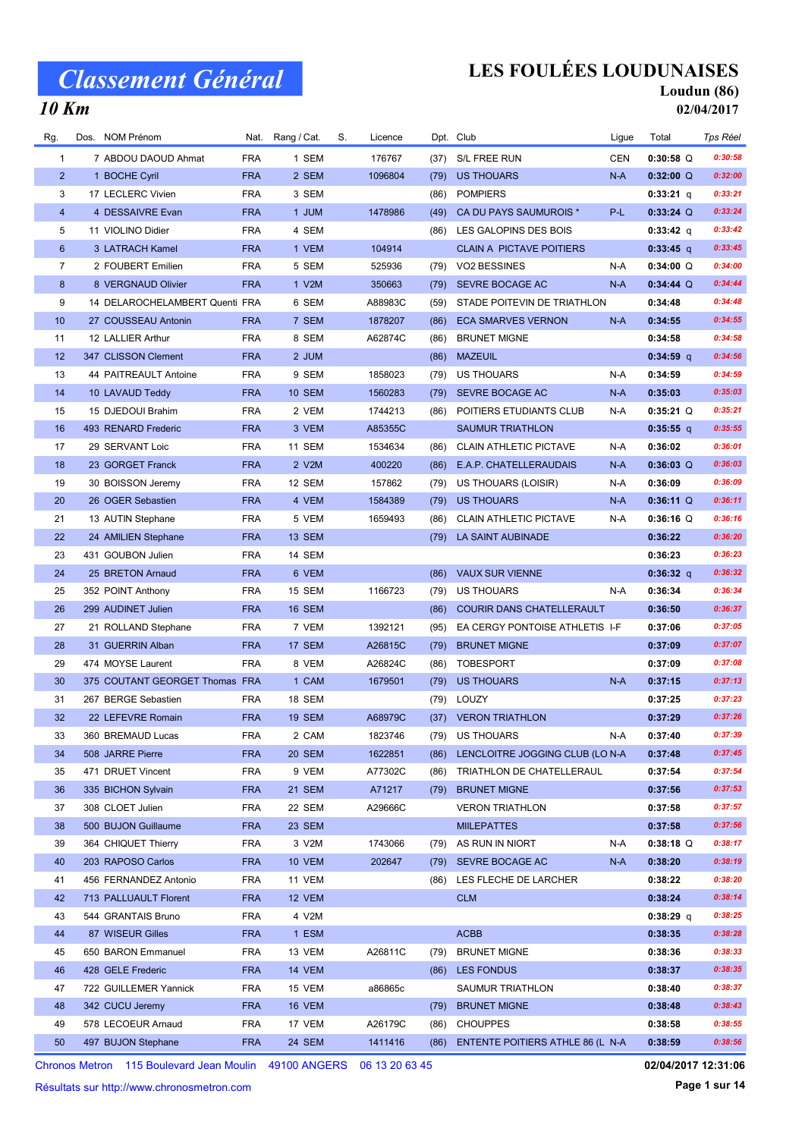### 10 Km

# LES FOULÉES LOUDUNAISES

#### Loudun (86) 02/04/2017

| Rg.            | Dos. | NOM Prénom                     | Nat.       | Rang / Cat.   | S. | Licence |      | Dpt. Club                            | Ligue      | Total       | Tps Réel |
|----------------|------|--------------------------------|------------|---------------|----|---------|------|--------------------------------------|------------|-------------|----------|
| 1              |      | 7 ABDOU DAOUD Ahmat            | <b>FRA</b> | 1 SEM         |    | 176767  | (37) | S/L FREE RUN                         | <b>CEN</b> | $0:30:58$ Q | 0:30:58  |
| $\overline{2}$ |      | 1 BOCHE Cyril                  | <b>FRA</b> | 2 SEM         |    | 1096804 | (79) | <b>US THOUARS</b>                    | $N-A$      | $0:32:00$ Q | 0:32:00  |
| 3              |      | 17 LECLERC Vivien              | <b>FRA</b> | 3 SEM         |    |         | (86) | <b>POMPIERS</b>                      |            | 0:33:21 q   | 0:33:21  |
| $\overline{4}$ |      | 4 DESSAIVRE Evan               | <b>FRA</b> | 1 JUM         |    | 1478986 | (49) | CA DU PAYS SAUMUROIS *               | P-L        | $0:33:24$ Q | 0:33:24  |
| 5              |      | 11 VIOLINO Didier              | <b>FRA</b> | 4 SEM         |    |         | (86) | LES GALOPINS DES BOIS                |            | $0:33:42$ q | 0:33:42  |
| $6\phantom{1}$ |      | 3 LATRACH Kamel                | <b>FRA</b> | 1 VEM         |    | 104914  |      | <b>CLAIN A PICTAVE POITIERS</b>      |            | $0:33:45$ q | 0:33:45  |
| $\overline{7}$ |      | 2 FOUBERT Emilien              | <b>FRA</b> | 5 SEM         |    | 525936  | (79) | VO2 BESSINES                         | N-A        | $0:34:00$ Q | 0:34:00  |
| 8              |      | 8 VERGNAUD Olivier             | <b>FRA</b> | 1 V2M         |    | 350663  |      | (79) SEVRE BOCAGE AC                 | $N-A$      | $0:34:44$ Q | 0:34:44  |
| 9              |      | 14 DELAROCHELAMBERT Quenti FRA |            | 6 SEM         |    | A88983C | (59) | STADE POITEVIN DE TRIATHLON          |            | 0:34:48     | 0:34:48  |
| 10             |      | 27 COUSSEAU Antonin            | <b>FRA</b> | 7 SEM         |    | 1878207 | (86) | <b>ECA SMARVES VERNON</b>            | $N-A$      | 0:34:55     | 0:34:55  |
| 11             |      | 12 LALLIER Arthur              | <b>FRA</b> | 8 SEM         |    | A62874C | (86) | <b>BRUNET MIGNE</b>                  |            | 0:34:58     | 0:34:58  |
| 12             |      | 347 CLISSON Clement            | <b>FRA</b> | 2 JUM         |    |         | (86) | <b>MAZEUIL</b>                       |            | $0:34:59$ q | 0:34:56  |
| 13             |      | 44 PAITREAULT Antoine          | <b>FRA</b> | 9 SEM         |    | 1858023 | (79) | <b>US THOUARS</b>                    | N-A        | 0:34:59     | 0:34:59  |
| 14             |      | 10 LAVAUD Teddy                | <b>FRA</b> | <b>10 SEM</b> |    | 1560283 | (79) | SEVRE BOCAGE AC                      | $N-A$      | 0:35:03     | 0:35:03  |
| 15             |      | 15 DJEDOUI Brahim              | <b>FRA</b> | 2 VEM         |    | 1744213 | (86) | POITIERS ETUDIANTS CLUB              | N-A        | $0:35:21$ Q | 0:35:21  |
| 16             |      | 493 RENARD Frederic            | <b>FRA</b> | 3 VEM         |    | A85355C |      | <b>SAUMUR TRIATHLON</b>              |            | $0:35:55$ q | 0:35:55  |
| 17             |      | 29 SERVANT Loic                | <b>FRA</b> | 11 SEM        |    | 1534634 | (86) | <b>CLAIN ATHLETIC PICTAVE</b>        | N-A        | 0:36:02     | 0:36:01  |
| 18             |      | 23 GORGET Franck               | <b>FRA</b> | 2 V2M         |    | 400220  | (86) | E.A.P. CHATELLERAUDAIS               | N-A        | $0:36:03$ Q | 0:36:03  |
| 19             |      | 30 BOISSON Jeremy              | <b>FRA</b> | 12 SEM        |    | 157862  | (79) | US THOUARS (LOISIR)                  | N-A        | 0:36:09     | 0:36:09  |
| 20             |      | 26 OGER Sebastien              | <b>FRA</b> | 4 VEM         |    | 1584389 | (79) | <b>US THOUARS</b>                    | N-A        | $0:36:11$ Q | 0:36:11  |
| 21             |      | 13 AUTIN Stephane              | <b>FRA</b> | 5 VEM         |    | 1659493 | (86) | <b>CLAIN ATHLETIC PICTAVE</b>        | N-A        | $0:36:16$ Q | 0:36:16  |
| 22             |      | 24 AMILIEN Stephane            | <b>FRA</b> | 13 SEM        |    |         | (79) | LA SAINT AUBINADE                    |            | 0:36:22     | 0:36:20  |
| 23             |      | 431 GOUBON Julien              | <b>FRA</b> | 14 SEM        |    |         |      |                                      |            | 0:36:23     | 0:36:23  |
| 24             |      | 25 BRETON Arnaud               | <b>FRA</b> | 6 VEM         |    |         | (86) | <b>VAUX SUR VIENNE</b>               |            | $0:36:32$ q | 0:36:32  |
| 25             |      | 352 POINT Anthony              | <b>FRA</b> | 15 SEM        |    | 1166723 | (79) | US THOUARS                           | N-A        | 0:36:34     | 0:36:34  |
| 26             |      | 299 AUDINET Julien             | <b>FRA</b> | 16 SEM        |    |         | (86) | <b>COURIR DANS CHATELLERAULT</b>     |            | 0:36:50     | 0:36:37  |
| 27             |      | 21 ROLLAND Stephane            | <b>FRA</b> | 7 VEM         |    | 1392121 | (95) | EA CERGY PONTOISE ATHLETIS I-F       |            | 0:37:06     | 0:37:05  |
| 28             |      | 31 GUERRIN Alban               | <b>FRA</b> | 17 SEM        |    | A26815C | (79) | <b>BRUNET MIGNE</b>                  |            | 0:37:09     | 0:37:07  |
| 29             |      | 474 MOYSE Laurent              | <b>FRA</b> | 8 VEM         |    | A26824C | (86) | <b>TOBESPORT</b>                     |            | 0:37:09     | 0:37:08  |
| 30             |      | 375 COUTANT GEORGET Thomas FRA |            | 1 CAM         |    | 1679501 | (79) | <b>US THOUARS</b>                    | $N-A$      | 0:37:15     | 0:37:13  |
| 31             |      | 267 BERGE Sebastien            | <b>FRA</b> | 18 SEM        |    |         |      | (79) LOUZY                           |            | 0:37:25     | 0:37:23  |
| 32             |      | 22 LEFEVRE Romain              | <b>FRA</b> | <b>19 SEM</b> |    | A68979C |      | (37) VERON TRIATHLON                 |            | 0:37:29     | 0:37:26  |
| 33             |      | 360 BREMAUD Lucas              | <b>FRA</b> | 2 CAM         |    | 1823746 |      | (79) US THOUARS                      | N-A        | 0:37:40     | 0:37:39  |
| 34             |      | 508 JARRE Pierre               | <b>FRA</b> | <b>20 SEM</b> |    | 1622851 |      | (86) LENCLOITRE JOGGING CLUB (LO N-A |            | 0:37:48     | 0:37:45  |
| 35             |      | 471 DRUET Vincent              | <b>FRA</b> | 9 VEM         |    | A77302C |      | (86) TRIATHLON DE CHATELLERAUL       |            | 0:37:54     | 0:37:54  |
| 36             |      | 335 BICHON Sylvain             | <b>FRA</b> | 21 SEM        |    | A71217  | (79) | <b>BRUNET MIGNE</b>                  |            | 0:37:56     | 0:37:53  |
| 37             |      | 308 CLOET Julien               | <b>FRA</b> | 22 SEM        |    | A29666C |      | <b>VERON TRIATHLON</b>               |            | 0:37:58     | 0:37:57  |
| 38             |      | 500 BUJON Guillaume            | <b>FRA</b> | 23 SEM        |    |         |      | <b>MILEPATTES</b>                    |            | 0:37:58     | 0:37:56  |
| 39             |      | 364 CHIQUET Thierry            | <b>FRA</b> | 3 V2M         |    | 1743066 | (79) | AS RUN IN NIORT                      | N-A        | $0:38:18$ Q | 0:38:17  |
| 40             |      | 203 RAPOSO Carlos              | <b>FRA</b> | <b>10 VEM</b> |    | 202647  | (79) | SEVRE BOCAGE AC                      | N-A        | 0:38:20     | 0:38:19  |
| 41             |      | 456 FERNANDEZ Antonio          | <b>FRA</b> | 11 VEM        |    |         | (86) | LES FLECHE DE LARCHER                |            | 0:38:22     | 0:38:20  |
| 42             |      | 713 PALLUAULT Florent          | <b>FRA</b> | 12 VEM        |    |         |      | <b>CLM</b>                           |            | 0:38:24     | 0:38:14  |
| 43             |      | 544 GRANTAIS Bruno             | <b>FRA</b> | 4 V2M         |    |         |      |                                      |            | $0:38:29$ q | 0:38:25  |
| 44             |      | 87 WISEUR Gilles               | <b>FRA</b> | 1 ESM         |    |         |      | <b>ACBB</b>                          |            | 0:38:35     | 0:38:28  |
| 45             |      | 650 BARON Emmanuel             | <b>FRA</b> | 13 VEM        |    | A26811C | (79) | <b>BRUNET MIGNE</b>                  |            | 0:38:36     | 0:38:33  |
| 46             |      | 428 GELE Frederic              | <b>FRA</b> | 14 VEM        |    |         | (86) | LES FONDUS                           |            | 0:38:37     | 0:38:35  |
| 47             |      | 722 GUILLEMER Yannick          | <b>FRA</b> | 15 VEM        |    | a86865c |      | SAUMUR TRIATHLON                     |            | 0:38:40     | 0:38:37  |
| 48             |      | 342 CUCU Jeremy                | <b>FRA</b> | 16 VEM        |    |         | (79) | <b>BRUNET MIGNE</b>                  |            | 0:38:48     | 0:38:43  |
| 49             |      | 578 LECOEUR Arnaud             | <b>FRA</b> | 17 VEM        |    | A26179C | (86) | <b>CHOUPPES</b>                      |            | 0:38:58     | 0:38:55  |
| 50             |      | 497 BUJON Stephane             | <b>FRA</b> | 24 SEM        |    | 1411416 | (86) | ENTENTE POITIERS ATHLE 86 (L N-A     |            | 0:38:59     | 0:38:56  |

Chronos Metron 115 Boulevard Jean Moulin 49100 ANGERS 06 13 20 63 45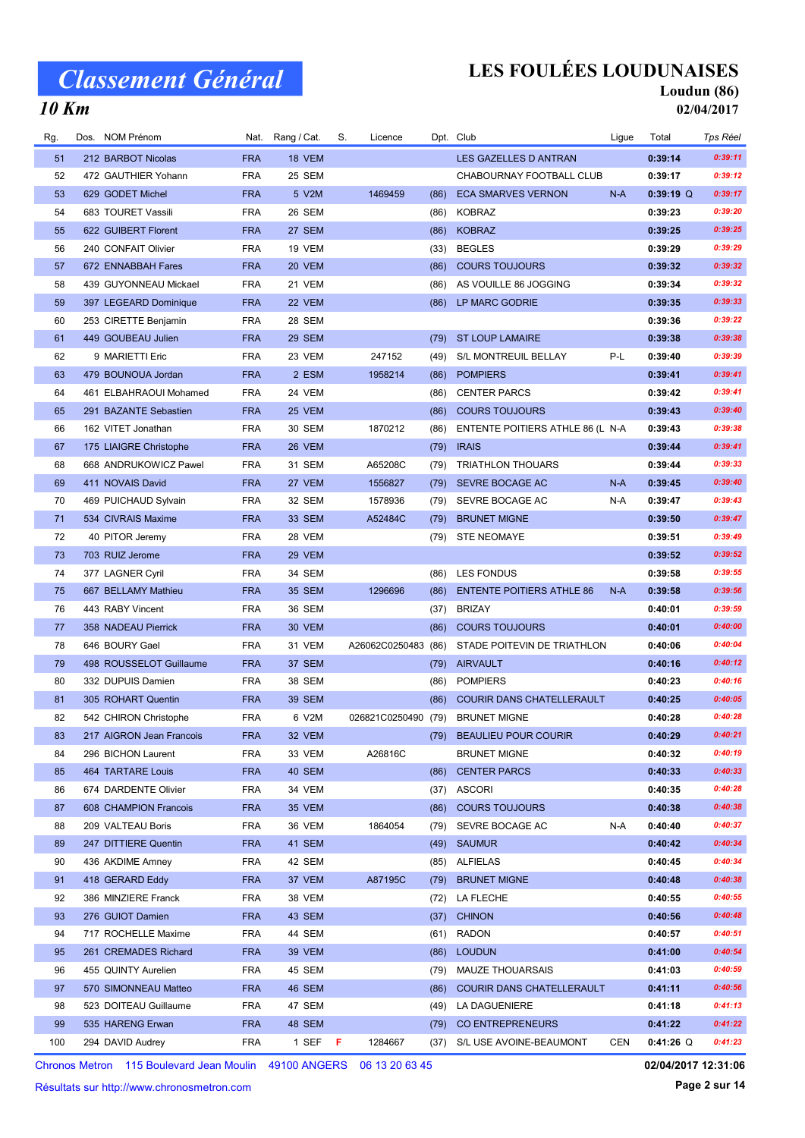### LES FOULÉES LOUDUNAISES

Nat. Rang / Cat. S. Licence Dpt. Club Cub Ligue Total Tps Réel

#### Loudun (86) 02/04/2017

#### 10 Km

| 51 | 212 BARBOT Nicolas       | <b>FRA</b> | 18 VEM        |                     |      | LES GAZELLES D ANTRAN            |       | 0:39:14     | 0:39:11 |
|----|--------------------------|------------|---------------|---------------------|------|----------------------------------|-------|-------------|---------|
| 52 | 472 GAUTHIER Yohann      | <b>FRA</b> | 25 SEM        |                     |      | CHABOURNAY FOOTBALL CLUB         |       | 0:39:17     | 0:39:12 |
| 53 | 629 GODET Michel         | <b>FRA</b> | 5 V2M         | 1469459             | (86) | <b>ECA SMARVES VERNON</b>        | $N-A$ | $0:39:19$ Q | 0:39:17 |
| 54 | 683 TOURET Vassili       | <b>FRA</b> | 26 SEM        |                     | (86) | <b>KOBRAZ</b>                    |       | 0:39:23     | 0:39:20 |
| 55 | 622 GUIBERT Florent      | <b>FRA</b> | 27 SEM        |                     | (86) | <b>KOBRAZ</b>                    |       | 0:39:25     | 0:39:25 |
| 56 | 240 CONFAIT Olivier      | <b>FRA</b> | 19 VEM        |                     | (33) | <b>BEGLES</b>                    |       | 0:39:29     | 0:39:29 |
| 57 | 672 ENNABBAH Fares       | <b>FRA</b> | 20 VEM        |                     | (86) | <b>COURS TOUJOURS</b>            |       | 0:39:32     | 0:39:32 |
| 58 | 439 GUYONNEAU Mickael    | <b>FRA</b> | <b>21 VEM</b> |                     | (86) | AS VOUILLE 86 JOGGING            |       | 0:39:34     | 0:39:32 |
| 59 | 397 LEGEARD Dominique    | <b>FRA</b> | 22 VEM        |                     | (86) | LP MARC GODRIE                   |       | 0:39:35     | 0:39:33 |
| 60 | 253 CIRETTE Benjamin     | <b>FRA</b> | 28 SEM        |                     |      |                                  |       | 0:39:36     | 0:39:22 |
| 61 | 449 GOUBEAU Julien       | <b>FRA</b> | <b>29 SEM</b> |                     | (79) | <b>ST LOUP LAMAIRE</b>           |       | 0:39:38     | 0:39:38 |
| 62 | 9 MARIETTI Eric          | <b>FRA</b> | 23 VEM        | 247152              | (49) | S/L MONTREUIL BELLAY             | P-L   | 0:39:40     | 0:39:39 |
| 63 | 479 BOUNOUA Jordan       | <b>FRA</b> | 2 ESM         | 1958214             | (86) | <b>POMPIERS</b>                  |       | 0:39:41     | 0:39:41 |
| 64 | 461 ELBAHRAOUI Mohamed   | <b>FRA</b> | 24 VEM        |                     | (86) | <b>CENTER PARCS</b>              |       | 0:39:42     | 0:39:41 |
| 65 | 291 BAZANTE Sebastien    | <b>FRA</b> | 25 VEM        |                     | (86) | <b>COURS TOUJOURS</b>            |       | 0:39:43     | 0:39:40 |
| 66 | 162 VITET Jonathan       | <b>FRA</b> | 30 SEM        | 1870212             | (86) | ENTENTE POITIERS ATHLE 86 (L N-A |       | 0:39:43     | 0:39:38 |
| 67 | 175 LIAIGRE Christophe   | <b>FRA</b> | 26 VEM        |                     | (79) | <b>IRAIS</b>                     |       | 0:39:44     | 0:39:41 |
| 68 | 668 ANDRUKOWICZ Pawel    | <b>FRA</b> | 31 SEM        | A65208C             | (79) | <b>TRIATHLON THOUARS</b>         |       | 0:39:44     | 0:39:33 |
| 69 | 411 NOVAIS David         | <b>FRA</b> | 27 VEM        | 1556827             | (79) | <b>SEVRE BOCAGE AC</b>           | $N-A$ | 0:39:45     | 0:39:40 |
| 70 | 469 PUICHAUD Sylvain     | <b>FRA</b> | 32 SEM        | 1578936             | (79) | SEVRE BOCAGE AC                  | N-A   | 0:39:47     | 0:39:43 |
| 71 | 534 CIVRAIS Maxime       | <b>FRA</b> | <b>33 SEM</b> | A52484C             | (79) | <b>BRUNET MIGNE</b>              |       | 0:39:50     | 0:39:47 |
| 72 | 40 PITOR Jeremy          | <b>FRA</b> | 28 VEM        |                     | (79) | <b>STE NEOMAYE</b>               |       | 0:39:51     | 0:39:49 |
| 73 | 703 RUIZ Jerome          | <b>FRA</b> | 29 VEM        |                     |      |                                  |       | 0:39:52     | 0:39:52 |
| 74 | 377 LAGNER Cyril         | <b>FRA</b> | 34 SEM        |                     | (86) | <b>LES FONDUS</b>                |       | 0:39:58     | 0:39:55 |
| 75 | 667 BELLAMY Mathieu      | <b>FRA</b> | <b>35 SEM</b> | 1296696             | (86) | <b>ENTENTE POITIERS ATHLE 86</b> | N-A   | 0:39:58     | 0:39:56 |
| 76 | 443 RABY Vincent         | <b>FRA</b> | 36 SEM        |                     | (37) | <b>BRIZAY</b>                    |       | 0:40:01     | 0:39:59 |
| 77 | 358 NADEAU Pierrick      | <b>FRA</b> | 30 VEM        |                     | (86) | <b>COURS TOUJOURS</b>            |       | 0:40:01     | 0:40:00 |
| 78 | 646 BOURY Gael           | <b>FRA</b> | 31 VEM        | A26062C0250483 (86) |      | STADE POITEVIN DE TRIATHLON      |       | 0:40:06     | 0:40:04 |
| 79 | 498 ROUSSELOT Guillaume  | <b>FRA</b> | 37 SEM        |                     | (79) | AIRVAULT                         |       | 0:40:16     | 0:40:12 |
| 80 | 332 DUPUIS Damien        | <b>FRA</b> | 38 SEM        |                     | (86) | <b>POMPIERS</b>                  |       | 0:40:23     | 0:40:16 |
| 81 | 305 ROHART Quentin       | <b>FRA</b> | <b>39 SEM</b> |                     | (86) | COURIR DANS CHATELLERAULT        |       | 0:40:25     | 0:40:05 |
| 82 | 542 CHIRON Christophe    | <b>FRA</b> | 6 V2M         | 026821C0250490 (79) |      | <b>BRUNET MIGNE</b>              |       | 0:40:28     | 0:40:28 |
| 83 | 217 AIGRON Jean Francois | <b>FRA</b> | 32 VEM        |                     | (79) | <b>BEAULIEU POUR COURIR</b>      |       | 0:40:29     | 0:40:21 |
| 84 | 296 BICHON Laurent       | <b>FRA</b> | 33 VEM        | A26816C             |      | <b>BRUNET MIGNE</b>              |       | 0:40:32     | 0:40:19 |
| 85 | 464 TARTARE Louis        | <b>FRA</b> | 40 SEM        |                     | (86) | <b>CENTER PARCS</b>              |       | 0:40:33     | 0:40:33 |
| 86 | 674 DARDENTE Olivier     | <b>FRA</b> | 34 VEM        |                     | (37) | <b>ASCORI</b>                    |       | 0:40:35     | 0:40:28 |
| 87 | 608 CHAMPION Francois    | <b>FRA</b> | 35 VEM        |                     | (86) | <b>COURS TOUJOURS</b>            |       | 0:40:38     | 0:40:38 |
| 88 | 209 VALTEAU Boris        | <b>FRA</b> | 36 VEM        | 1864054             | (79) | SEVRE BOCAGE AC                  | N-A   | 0:40:40     | 0:40:37 |
| 89 | 247 DITTIERE Quentin     | <b>FRA</b> | 41 SEM        |                     | (49) | <b>SAUMUR</b>                    |       | 0:40:42     | 0:40:34 |
| 90 | 436 AKDIME Amney         | <b>FRA</b> | 42 SEM        |                     | (85) | <b>ALFIELAS</b>                  |       | 0:40:45     | 0:40:34 |
| 91 | 418 GERARD Eddy          | <b>FRA</b> | 37 VEM        | A87195C             | (79) | <b>BRUNET MIGNE</b>              |       | 0:40:48     | 0:40:38 |
| 92 | 386 MINZIERE Franck      | <b>FRA</b> | 38 VEM        |                     | (72) | LA FLECHE                        |       | 0:40:55     | 0:40:55 |
| 93 | 276 GUIOT Damien         | <b>FRA</b> | 43 SEM        |                     | (37) | <b>CHINON</b>                    |       | 0:40:56     | 0:40:48 |
| 94 | 717 ROCHELLE Maxime      | <b>FRA</b> | 44 SEM        |                     |      | (61) RADON                       |       | 0:40:57     | 0:40:51 |

Rg. Dos. NOM Prénom **Cat. Nat. Rang / Cat. S. Licence** Dpt. Club Club Club Ligue Total

96 455 QUINTY Aurelien FRA 45 SEM (79) MAUZE THOUARSAIS **6.41:03** 0:41:03 0:40:59 97 570 SIMONNEAU Matteo FRA 46 SEM (86) COURIR DANS CHATELLERAULT 0:41:11 0:40:56 523 SEM DOITEAU Guillaume (49) LA DAGUENIERE FRA 47 0:41:18 0:41:13 99 535 HARENG Erwan **FRA 48 SEM** (79) CO ENTREPRENEURS **1.41:22** 0:41:22 0:41:22 100 294 DAVID Audrey **FRA** 1 SEF F 1284667 (37) S/L USE AVOINE-BEAUMONT CEN 0:41:26 Q 0:41:23

95 261 CREMADES Richard FRA 39 VEM (86) LOUDUN 60141:00 0:40:54

Chronos Metron 115 Boulevard Jean Moulin 49100 ANGERS 06 13 20 63 45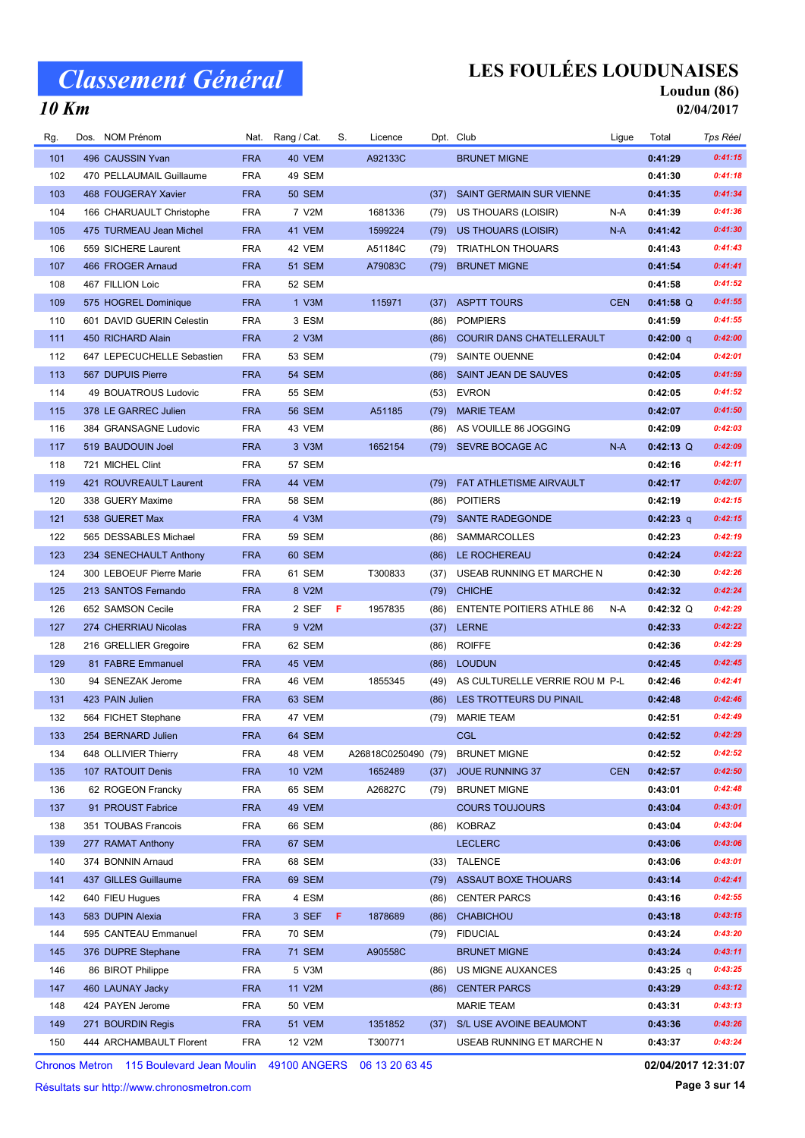# LES FOULÉES LOUDUNAISES

Nat. Rang / Cat. S. Licence Dpt. Club Cub Ligue Total Tps Réel

#### Loudun (86) 02/04/2017

### 10 Km

| 101 | 496 CAUSSIN Yvan           | <b>FRA</b> | 40 VEM        | A92133C             |      | <b>BRUNET MIGNE</b>              |            | 0:41:29     | 0:41:15 |
|-----|----------------------------|------------|---------------|---------------------|------|----------------------------------|------------|-------------|---------|
| 102 | 470 PELLAUMAIL Guillaume   | <b>FRA</b> | 49 SEM        |                     |      |                                  |            | 0:41:30     | 0:41:18 |
| 103 | 468 FOUGERAY Xavier        | <b>FRA</b> | <b>50 SEM</b> |                     | (37) | SAINT GERMAIN SUR VIENNE         |            | 0:41:35     | 0:41:34 |
| 104 | 166 CHARUAULT Christophe   | <b>FRA</b> | 7 V2M         | 1681336             | (79) | US THOUARS (LOISIR)              | N-A        | 0:41:39     | 0:41:36 |
| 105 | 475 TURMEAU Jean Michel    | <b>FRA</b> | 41 VEM        | 1599224             | (79) | US THOUARS (LOISIR)              | N-A        | 0:41:42     | 0:41:30 |
| 106 | 559 SICHERE Laurent        | <b>FRA</b> | 42 VEM        | A51184C             | (79) | <b>TRIATHLON THOUARS</b>         |            | 0:41:43     | 0:41:43 |
| 107 | 466 FROGER Arnaud          | <b>FRA</b> | <b>51 SEM</b> | A79083C             | (79) | <b>BRUNET MIGNE</b>              |            | 0:41:54     | 0:41:41 |
| 108 | 467 FILLION Loic           | <b>FRA</b> | 52 SEM        |                     |      |                                  |            | 0:41:58     | 0:41:52 |
| 109 | 575 HOGREL Dominique       | <b>FRA</b> | 1 V3M         | 115971              | (37) | <b>ASPTT TOURS</b>               | <b>CEN</b> | $0:41:58$ Q | 0:41:55 |
| 110 | 601 DAVID GUERIN Celestin  | <b>FRA</b> | 3 ESM         |                     | (86) | <b>POMPIERS</b>                  |            | 0:41:59     | 0:41:55 |
| 111 | 450 RICHARD Alain          | <b>FRA</b> | 2 V3M         |                     | (86) | <b>COURIR DANS CHATELLERAULT</b> |            | 0:42:00 q   | 0:42:00 |
| 112 | 647 LEPECUCHELLE Sebastien | <b>FRA</b> | 53 SEM        |                     | (79) | SAINTE OUENNE                    |            | 0:42:04     | 0:42:01 |
| 113 | 567 DUPUIS Pierre          | <b>FRA</b> | <b>54 SEM</b> |                     | (86) | SAINT JEAN DE SAUVES             |            | 0:42:05     | 0:41:59 |
| 114 | 49 BOUATROUS Ludovic       | <b>FRA</b> | 55 SEM        |                     | (53) | <b>EVRON</b>                     |            | 0:42:05     | 0:41:52 |
| 115 | 378 LE GARREC Julien       | <b>FRA</b> | <b>56 SEM</b> | A51185              | (79) | <b>MARIE TEAM</b>                |            | 0:42:07     | 0:41:50 |
| 116 | 384 GRANSAGNE Ludovic      | <b>FRA</b> | 43 VEM        |                     | (86) | AS VOUILLE 86 JOGGING            |            | 0:42:09     | 0:42:03 |
| 117 | 519 BAUDOUIN Joel          | <b>FRA</b> | 3 V3M         | 1652154             |      | (79) SEVRE BOCAGE AC             | $N-A$      | $0:42:13$ Q | 0:42:09 |
| 118 | 721 MICHEL Clint           | <b>FRA</b> | 57 SEM        |                     |      |                                  |            | 0:42:16     | 0:42:11 |
| 119 | 421 ROUVREAULT Laurent     | <b>FRA</b> | 44 VEM        |                     | (79) | FAT ATHLETISME AIRVAULT          |            | 0:42:17     | 0:42:07 |
| 120 | 338 GUERY Maxime           | <b>FRA</b> | <b>58 SEM</b> |                     | (86) | <b>POITIERS</b>                  |            | 0:42:19     | 0:42:15 |
| 121 | 538 GUERET Max             | <b>FRA</b> | 4 V3M         |                     | (79) | <b>SANTE RADEGONDE</b>           |            | $0:42:23$ q | 0:42:15 |
| 122 | 565 DESSABLES Michael      | <b>FRA</b> | <b>59 SEM</b> |                     | (86) | SAMMARCOLLES                     |            | 0:42:23     | 0:42:19 |
| 123 | 234 SENECHAULT Anthony     | <b>FRA</b> | 60 SEM        |                     | (86) | LE ROCHEREAU                     |            | 0:42:24     | 0:42:22 |
| 124 | 300 LEBOEUF Pierre Marie   | <b>FRA</b> | 61 SEM        | T300833             | (37) | USEAB RUNNING ET MARCHE N        |            | 0:42:30     | 0:42:26 |
| 125 | 213 SANTOS Fernando        | <b>FRA</b> | 8 V2M         |                     | (79) | <b>CHICHE</b>                    |            | 0:42:32     | 0:42:24 |
| 126 | 652 SAMSON Cecile          | <b>FRA</b> | 2 SEF         | F<br>1957835        | (86) | <b>ENTENTE POITIERS ATHLE 86</b> | N-A        | $0:42:32$ Q | 0:42:29 |
| 127 | 274 CHERRIAU Nicolas       | <b>FRA</b> | 9 V2M         |                     | (37) | <b>LERNE</b>                     |            | 0:42:33     | 0:42:22 |
| 128 | 216 GRELLIER Gregoire      | <b>FRA</b> | 62 SEM        |                     | (86) | <b>ROIFFE</b>                    |            | 0:42:36     | 0:42:29 |
| 129 | 81 FABRE Emmanuel          | <b>FRA</b> | 45 VEM        |                     | (86) | <b>LOUDUN</b>                    |            | 0:42:45     | 0:42:45 |
| 130 | 94 SENEZAK Jerome          | <b>FRA</b> | 46 VEM        | 1855345             | (49) | AS CULTURELLE VERRIE ROU M P-L   |            | 0:42:46     | 0:42:41 |
| 131 | 423 PAIN Julien            | <b>FRA</b> | 63 SEM        |                     | (86) | LES TROTTEURS DU PINAIL          |            | 0:42:48     | 0:42:46 |
| 132 | 564 FICHET Stephane        | <b>FRA</b> | 47 VEM        |                     | (79) | <b>MARIE TEAM</b>                |            | 0:42:51     | 0:42:49 |
| 133 | 254 BERNARD Julien         | <b>FRA</b> | 64 SEM        |                     |      | <b>CGL</b>                       |            | 0:42:52     | 0:42:29 |
| 134 | 648 OLLIVIER Thierry       | <b>FRA</b> | 48 VEM        | A26818C0250490 (79) |      | <b>BRUNET MIGNE</b>              |            | 0:42:52     | 0:42:52 |
| 135 | 107 RATOUIT Denis          | <b>FRA</b> | 10 V2M        | 1652489             | (37) | <b>JOUE RUNNING 37</b>           | <b>CEN</b> | 0:42:57     | 0:42:50 |
| 136 | 62 ROGEON Francky          | <b>FRA</b> | 65 SEM        | A26827C             | (79) | <b>BRUNET MIGNE</b>              |            | 0:43:01     | 0:42:48 |
| 137 | 91 PROUST Fabrice          | <b>FRA</b> | 49 VEM        |                     |      | <b>COURS TOUJOURS</b>            |            | 0:43:04     | 0:43:01 |
| 138 | 351 TOUBAS Francois        | <b>FRA</b> | 66 SEM        |                     | (86) | KOBRAZ                           |            | 0:43:04     | 0:43:04 |
| 139 | 277 RAMAT Anthony          | <b>FRA</b> | 67 SEM        |                     |      | <b>LECLERC</b>                   |            | 0:43:06     | 0:43:06 |
| 140 | 374 BONNIN Arnaud          | <b>FRA</b> | 68 SEM        |                     | (33) | <b>TALENCE</b>                   |            | 0:43:06     | 0:43:01 |
| 141 | 437 GILLES Guillaume       | <b>FRA</b> | 69 SEM        |                     | (79) | <b>ASSAUT BOXE THOUARS</b>       |            | 0:43:14     | 0:42:41 |
| 142 | 640 FIEU Hugues            | <b>FRA</b> | 4 ESM         |                     | (86) | <b>CENTER PARCS</b>              |            | 0:43:16     | 0:42:55 |
| 143 | 583 DUPIN Alexia           | <b>FRA</b> | 3 SEF         | F<br>1878689        | (86) | <b>CHABICHOU</b>                 |            | 0:43:18     | 0:43:15 |
| 144 | 595 CANTEAU Emmanuel       | <b>FRA</b> | 70 SEM        |                     | (79) | <b>FIDUCIAL</b>                  |            | 0:43:24     | 0:43:20 |
| 145 | 376 DUPRE Stephane         | <b>FRA</b> | <b>71 SEM</b> | A90558C             |      | <b>BRUNET MIGNE</b>              |            | 0:43:24     | 0:43:11 |
| 146 | 86 BIROT Philippe          | <b>FRA</b> | 5 V3M         |                     | (86) | US MIGNE AUXANCES                |            | 0:43:25 q   | 0:43:25 |
| 147 | 460 LAUNAY Jacky           | <b>FRA</b> | 11 V2M        |                     | (86) | <b>CENTER PARCS</b>              |            | 0:43:29     | 0:43:12 |
| 148 | 424 PAYEN Jerome           | <b>FRA</b> | <b>50 VEM</b> |                     |      | <b>MARIE TEAM</b>                |            | 0:43:31     | 0:43:13 |
| 149 | 271 BOURDIN Regis          | <b>FRA</b> | <b>51 VEM</b> | 1351852             | (37) | S/L USE AVOINE BEAUMONT          |            | 0:43:36     | 0:43:26 |
| 150 | 444 ARCHAMBAULT Florent    | <b>FRA</b> | 12 V2M        | T300771             |      | USEAB RUNNING ET MARCHE N        |            | 0:43:37     | 0:43:24 |
|     |                            |            |               |                     |      |                                  |            |             |         |

Rg. Dos. NOM Prénom **Cat. Nat. Rang / Cat. S. Licence** Dpt. Club Club Ligue Total

Chronos Metron 115 Boulevard Jean Moulin 49100 ANGERS 06 13 20 63 45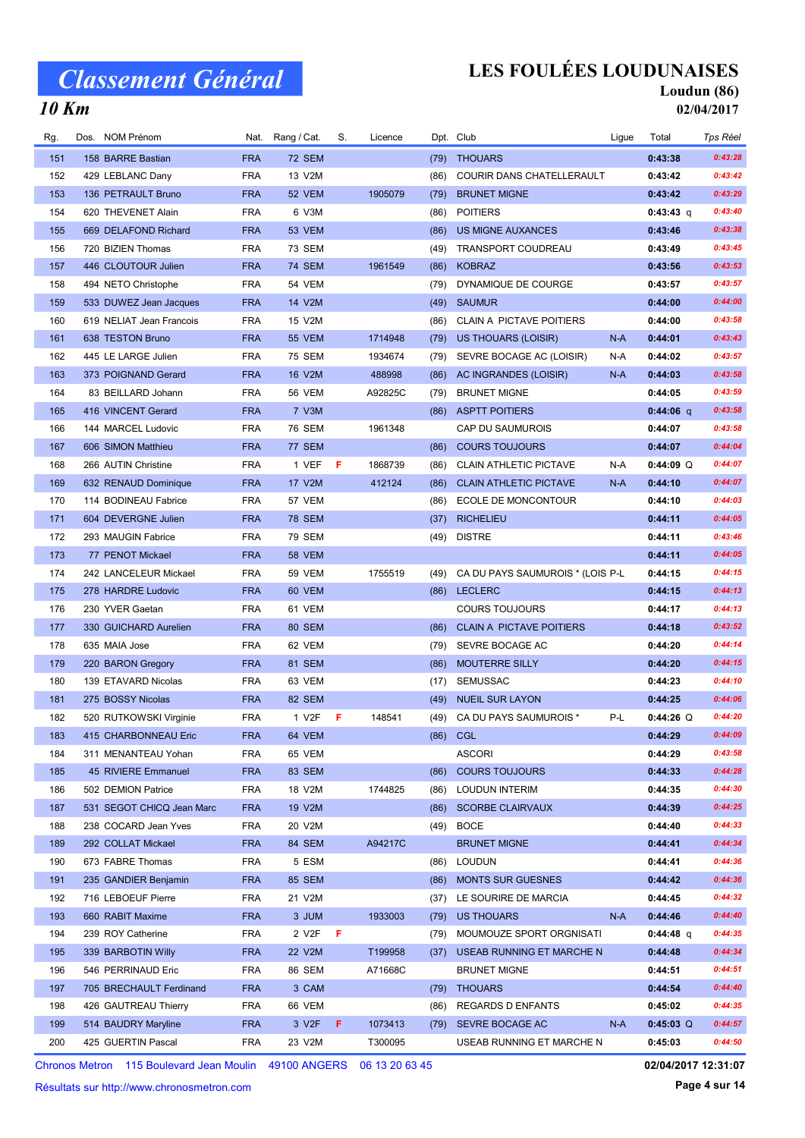## LES FOULÉES LOUDUNAISES

#### Loudun (86) 02/04/2017

#### 10 Km

| Rg. | Dos. NOM Prénom           | Nat.       | Rang / Cat.   | S.  | Licence |      | Dpt. Club                        | Ligue | Total       | Tps Réel |
|-----|---------------------------|------------|---------------|-----|---------|------|----------------------------------|-------|-------------|----------|
| 151 | 158 BARRE Bastian         | <b>FRA</b> | <b>72 SEM</b> |     |         | (79) | <b>THOUARS</b>                   |       | 0:43:38     | 0:43:28  |
| 152 | 429 LEBLANC Dany          | <b>FRA</b> | 13 V2M        |     |         | (86) | COURIR DANS CHATELLERAULT        |       | 0:43:42     | 0:43:42  |
| 153 | 136 PETRAULT Bruno        | <b>FRA</b> | 52 VEM        |     | 1905079 | (79) | <b>BRUNET MIGNE</b>              |       | 0:43:42     | 0:43:29  |
| 154 | 620 THEVENET Alain        | <b>FRA</b> | 6 V3M         |     |         | (86) | <b>POITIERS</b>                  |       | $0:43:43$ q | 0:43:40  |
| 155 | 669 DELAFOND Richard      | <b>FRA</b> | 53 VEM        |     |         | (86) | <b>US MIGNE AUXANCES</b>         |       | 0:43:46     | 0:43:38  |
| 156 | 720 BIZIEN Thomas         | <b>FRA</b> | <b>73 SEM</b> |     |         | (49) | TRANSPORT COUDREAU               |       | 0:43:49     | 0:43:45  |
| 157 | 446 CLOUTOUR Julien       | <b>FRA</b> | <b>74 SEM</b> |     | 1961549 | (86) | <b>KOBRAZ</b>                    |       | 0:43:56     | 0:43:53  |
| 158 | 494 NETO Christophe       | <b>FRA</b> | 54 VEM        |     |         | (79) | DYNAMIQUE DE COURGE              |       | 0:43:57     | 0:43:57  |
| 159 | 533 DUWEZ Jean Jacques    | <b>FRA</b> | 14 V2M        |     |         | (49) | <b>SAUMUR</b>                    |       | 0:44:00     | 0:44:00  |
| 160 | 619 NELIAT Jean Francois  | <b>FRA</b> | 15 V2M        |     |         | (86) | <b>CLAIN A PICTAVE POITIERS</b>  |       | 0:44:00     | 0:43:58  |
| 161 | 638 TESTON Bruno          | <b>FRA</b> | <b>55 VEM</b> |     | 1714948 | (79) | US THOUARS (LOISIR)              | $N-A$ | 0:44:01     | 0:43:43  |
| 162 | 445 LE LARGE Julien       | <b>FRA</b> | <b>75 SEM</b> |     | 1934674 | (79) | SEVRE BOCAGE AC (LOISIR)         | N-A   | 0:44:02     | 0:43:57  |
| 163 | 373 POIGNAND Gerard       | <b>FRA</b> | 16 V2M        |     | 488998  | (86) | AC INGRANDES (LOISIR)            | N-A   | 0:44:03     | 0:43:58  |
| 164 | 83 BEILLARD Johann        | <b>FRA</b> | <b>56 VEM</b> |     | A92825C | (79) | <b>BRUNET MIGNE</b>              |       | 0:44:05     | 0:43:59  |
| 165 | 416 VINCENT Gerard        | <b>FRA</b> | 7 V3M         |     |         | (86) | <b>ASPTT POITIERS</b>            |       | $0:44:06$ q | 0:43:58  |
| 166 | 144 MARCEL Ludovic        | <b>FRA</b> | <b>76 SEM</b> |     | 1961348 |      | CAP DU SAUMUROIS                 |       | 0:44:07     | 0:43:58  |
| 167 | 606 SIMON Matthieu        | <b>FRA</b> | <b>77 SEM</b> |     |         | (86) | <b>COURS TOUJOURS</b>            |       | 0:44:07     | 0:44:04  |
| 168 | 266 AUTIN Christine       | <b>FRA</b> | 1 VEF         | -F. | 1868739 | (86) | <b>CLAIN ATHLETIC PICTAVE</b>    | N-A   | $0:44:09$ Q | 0:44:07  |
| 169 | 632 RENAUD Dominique      | <b>FRA</b> | 17 V2M        |     | 412124  | (86) | <b>CLAIN ATHLETIC PICTAVE</b>    | $N-A$ | 0:44:10     | 0:44:07  |
| 170 | 114 BODINEAU Fabrice      | <b>FRA</b> | 57 VEM        |     |         | (86) | ECOLE DE MONCONTOUR              |       | 0:44:10     | 0:44:03  |
| 171 | 604 DEVERGNE Julien       | <b>FRA</b> | <b>78 SEM</b> |     |         | (37) | <b>RICHELIEU</b>                 |       | 0:44:11     | 0:44:05  |
| 172 | 293 MAUGIN Fabrice        | <b>FRA</b> | <b>79 SEM</b> |     |         | (49) | <b>DISTRE</b>                    |       | 0:44:11     | 0:43:46  |
| 173 | 77 PENOT Mickael          | <b>FRA</b> | <b>58 VEM</b> |     |         |      |                                  |       | 0:44:11     | 0:44:05  |
| 174 | 242 LANCELEUR Mickael     | <b>FRA</b> | <b>59 VEM</b> |     | 1755519 | (49) | CA DU PAYS SAUMUROIS * (LOIS P-L |       | 0:44:15     | 0:44:15  |
| 175 | 278 HARDRE Ludovic        | <b>FRA</b> | 60 VEM        |     |         |      | (86) LECLERC                     |       | 0:44:15     | 0:44:13  |
| 176 | 230 YVER Gaetan           | <b>FRA</b> | 61 VEM        |     |         |      | <b>COURS TOUJOURS</b>            |       | 0:44:17     | 0:44:13  |
| 177 | 330 GUICHARD Aurelien     | <b>FRA</b> | 80 SEM        |     |         | (86) | <b>CLAIN A PICTAVE POITIERS</b>  |       | 0:44:18     | 0:43:52  |
| 178 | 635 MAIA Jose             | <b>FRA</b> | 62 VEM        |     |         | (79) | SEVRE BOCAGE AC                  |       | 0:44:20     | 0:44:14  |
| 179 | 220 BARON Gregory         | <b>FRA</b> | 81 SEM        |     |         | (86) | <b>MOUTERRE SILLY</b>            |       | 0:44:20     | 0:44:15  |
| 180 | 139 ETAVARD Nicolas       | <b>FRA</b> | 63 VEM        |     |         | (17) | <b>SEMUSSAC</b>                  |       | 0:44:23     | 0:44:10  |
| 181 | 275 BOSSY Nicolas         | <b>FRA</b> | 82 SEM        |     |         | (49) | <b>NUEIL SUR LAYON</b>           |       | 0:44:25     | 0:44:06  |
| 182 | 520 RUTKOWSKI Virginie    | <b>FRA</b> | 1 V2F         | Æ   | 148541  |      | (49) CA DU PAYS SAUMUROIS *      | P-L   | $0:44:26$ Q | 0:44:20  |
| 183 | 415 CHARBONNEAU Eric      | <b>FRA</b> | 64 VEM        |     |         |      | (86) CGL                         |       | 0:44:29     | 0:44:09  |
| 184 | 311 MENANTEAU Yohan       | <b>FRA</b> | 65 VEM        |     |         |      | <b>ASCORI</b>                    |       | 0:44:29     | 0:43:58  |
| 185 | 45 RIVIERE Emmanuel       | <b>FRA</b> | 83 SEM        |     |         | (86) | <b>COURS TOUJOURS</b>            |       | 0:44:33     | 0:44:28  |
| 186 | 502 DEMION Patrice        | <b>FRA</b> | 18 V2M        |     | 1744825 | (86) | <b>LOUDUN INTERIM</b>            |       | 0:44:35     | 0:44:30  |
| 187 | 531 SEGOT CHICQ Jean Marc | <b>FRA</b> | 19 V2M        |     |         | (86) | <b>SCORBE CLAIRVAUX</b>          |       | 0:44:39     | 0:44:25  |
| 188 | 238 COCARD Jean Yves      | <b>FRA</b> | 20 V2M        |     |         |      | (49) BOCE                        |       | 0:44:40     | 0:44:33  |
| 189 | 292 COLLAT Mickael        | <b>FRA</b> | 84 SEM        |     | A94217C |      | <b>BRUNET MIGNE</b>              |       | 0:44:41     | 0:44:34  |
| 190 | 673 FABRE Thomas          | <b>FRA</b> | 5 ESM         |     |         | (86) | LOUDUN                           |       | 0:44:41     | 0:44:36  |
| 191 | 235 GANDIER Benjamin      | <b>FRA</b> | <b>85 SEM</b> |     |         | (86) | <b>MONTS SUR GUESNES</b>         |       | 0:44:42     | 0:44:36  |
| 192 | 716 LEBOEUF Pierre        | <b>FRA</b> | 21 V2M        |     |         |      | (37) LE SOURIRE DE MARCIA        |       | 0:44:45     | 0:44:32  |
| 193 | 660 RABIT Maxime          | <b>FRA</b> | 3 JUM         |     | 1933003 |      | (79) US THOUARS                  | $N-A$ | 0:44:46     | 0:44:40  |
| 194 | 239 ROY Catherine         | <b>FRA</b> | 2 V2F         | F.  |         | (79) | MOUMOUZE SPORT ORGNISATI         |       | $0:44:48$ q | 0:44:35  |
| 195 | 339 BARBOTIN Willy        | <b>FRA</b> | 22 V2M        |     | T199958 | (37) | USEAB RUNNING ET MARCHE N        |       | 0:44:48     | 0:44:34  |
| 196 | 546 PERRINAUD Eric        | <b>FRA</b> | 86 SEM        |     | A71668C |      | <b>BRUNET MIGNE</b>              |       | 0:44:51     | 0:44:51  |
| 197 | 705 BRECHAULT Ferdinand   | <b>FRA</b> | 3 CAM         |     |         |      | (79) THOUARS                     |       | 0:44:54     | 0:44:40  |
| 198 | 426 GAUTREAU Thierry      | <b>FRA</b> | 66 VEM        |     |         |      | (86) REGARDS D ENFANTS           |       | 0:45:02     | 0:44:35  |
| 199 | 514 BAUDRY Maryline       | <b>FRA</b> | 3 V2F         | F.  | 1073413 |      | (79) SEVRE BOCAGE AC             | $N-A$ | $0:45:03$ Q | 0:44:57  |
| 200 | 425 GUERTIN Pascal        | <b>FRA</b> | 23 V2M        |     | T300095 |      | USEAB RUNNING ET MARCHE N        |       | 0:45:03     | 0:44:50  |
|     |                           |            |               |     |         |      |                                  |       |             |          |

Chronos Metron 115 Boulevard Jean Moulin 49100 ANGERS 06 13 20 63 45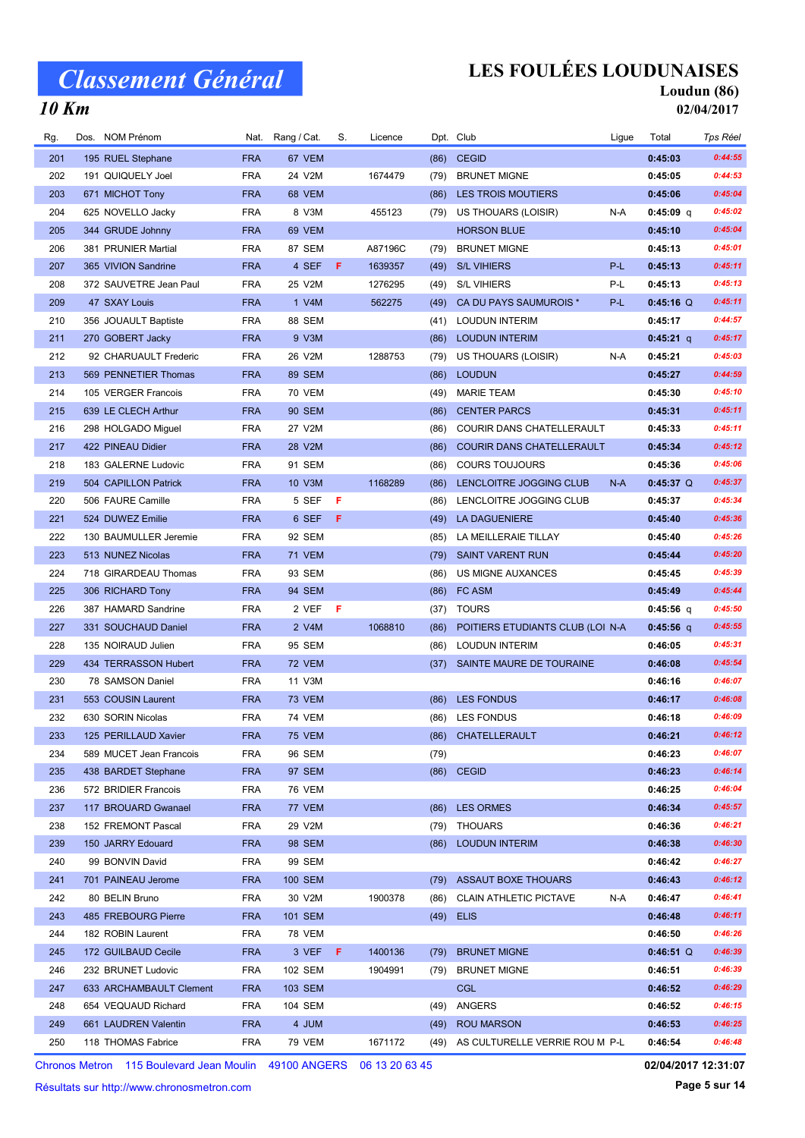10 Km

# LES FOULÉES LOUDUNAISES

# Loudun (86)

02/04/2017

| Rg. | Dos. NOM Prénom         |            | Nat. Rang / Cat. | S. | Licence |      | Dpt. Club                           | Ligue | Total       | Tps Réel |
|-----|-------------------------|------------|------------------|----|---------|------|-------------------------------------|-------|-------------|----------|
| 201 | 195 RUEL Stephane       | <b>FRA</b> | 67 VEM           |    |         | (86) | <b>CEGID</b>                        |       | 0:45:03     | 0:44:55  |
| 202 | 191 QUIQUELY Joel       | <b>FRA</b> | 24 V2M           |    | 1674479 | (79) | <b>BRUNET MIGNE</b>                 |       | 0:45:05     | 0:44:53  |
| 203 | 671 MICHOT Tony         | <b>FRA</b> | 68 VEM           |    |         | (86) | LES TROIS MOUTIERS                  |       | 0:45:06     | 0:45:04  |
| 204 | 625 NOVELLO Jacky       | <b>FRA</b> | 8 V3M            |    | 455123  | (79) | US THOUARS (LOISIR)                 | N-A   | $0:45:09$ q | 0:45:02  |
| 205 | 344 GRUDE Johnny        | <b>FRA</b> | 69 VEM           |    |         |      | <b>HORSON BLUE</b>                  |       | 0:45:10     | 0:45:04  |
| 206 | 381 PRUNIER Martial     | <b>FRA</b> | 87 SEM           |    | A87196C | (79) | <b>BRUNET MIGNE</b>                 |       | 0:45:13     | 0:45:01  |
| 207 | 365 VIVION Sandrine     | <b>FRA</b> | 4 SEF            | F. | 1639357 | (49) | <b>S/L VIHIERS</b>                  | P-L   | 0:45:13     | 0:45:11  |
| 208 | 372 SAUVETRE Jean Paul  | <b>FRA</b> | 25 V2M           |    | 1276295 | (49) | <b>S/L VIHIERS</b>                  | P-L   | 0:45:13     | 0:45:13  |
| 209 | 47 SXAY Louis           | <b>FRA</b> | 1 V4M            |    | 562275  | (49) | CA DU PAYS SAUMUROIS *              | P-L   | $0:45:16$ Q | 0:45:11  |
| 210 | 356 JOUAULT Baptiste    | <b>FRA</b> | 88 SEM           |    |         | (41) | <b>LOUDUN INTERIM</b>               |       | 0:45:17     | 0:44:57  |
| 211 | 270 GOBERT Jacky        | <b>FRA</b> | 9 V3M            |    |         | (86) | <b>LOUDUN INTERIM</b>               |       | $0:45:21$ q | 0:45:17  |
| 212 | 92 CHARUAULT Frederic   | <b>FRA</b> | 26 V2M           |    | 1288753 | (79) | US THOUARS (LOISIR)                 | N-A   | 0:45:21     | 0:45:03  |
| 213 | 569 PENNETIER Thomas    | <b>FRA</b> | <b>89 SEM</b>    |    |         | (86) | <b>LOUDUN</b>                       |       | 0:45:27     | 0:44:59  |
| 214 | 105 VERGER Francois     | <b>FRA</b> | 70 VEM           |    |         | (49) | <b>MARIE TEAM</b>                   |       | 0:45:30     | 0:45:10  |
| 215 | 639 LE CLECH Arthur     | <b>FRA</b> | 90 SEM           |    |         | (86) | <b>CENTER PARCS</b>                 |       | 0:45:31     | 0:45:11  |
| 216 | 298 HOLGADO Miguel      | <b>FRA</b> | 27 V2M           |    |         | (86) | COURIR DANS CHATELLERAULT           |       | 0:45:33     | 0:45:11  |
| 217 | 422 PINEAU Didier       | <b>FRA</b> | 28 V2M           |    |         | (86) | <b>COURIR DANS CHATELLERAULT</b>    |       | 0:45:34     | 0:45:12  |
| 218 | 183 GALERNE Ludovic     | <b>FRA</b> | 91 SEM           |    |         | (86) | <b>COURS TOUJOURS</b>               |       | 0:45:36     | 0:45:06  |
| 219 | 504 CAPILLON Patrick    | <b>FRA</b> | 10 V3M           |    | 1168289 | (86) | LENCLOITRE JOGGING CLUB             | $N-A$ | $0:45:37$ Q | 0:45:37  |
| 220 | 506 FAURE Camille       | <b>FRA</b> | 5 SEF            | F  |         | (86) | LENCLOITRE JOGGING CLUB             |       | 0:45:37     | 0:45:34  |
| 221 | 524 DUWEZ Emilie        | <b>FRA</b> | 6 SEF            | F  |         | (49) | LA DAGUENIERE                       |       | 0:45:40     | 0:45:36  |
| 222 | 130 BAUMULLER Jeremie   | <b>FRA</b> | 92 SEM           |    |         | (85) | LA MEILLERAIE TILLAY                |       | 0:45:40     | 0:45:26  |
| 223 | 513 NUNEZ Nicolas       | <b>FRA</b> | <b>71 VEM</b>    |    |         | (79) | <b>SAINT VARENT RUN</b>             |       | 0:45:44     | 0:45:20  |
| 224 | 718 GIRARDEAU Thomas    | <b>FRA</b> | 93 SEM           |    |         | (86) | US MIGNE AUXANCES                   |       | 0:45:45     | 0:45:39  |
| 225 | 306 RICHARD Tony        | <b>FRA</b> | 94 SEM           |    |         | (86) | FC ASM                              |       | 0:45:49     | 0:45:44  |
| 226 | 387 HAMARD Sandrine     | <b>FRA</b> | 2 VEF            | F  |         |      | (37) TOURS                          |       | 0:45:56 q   | 0:45:50  |
| 227 | 331 SOUCHAUD Daniel     | <b>FRA</b> | 2 V4M            |    | 1068810 | (86) | POITIERS ETUDIANTS CLUB (LOI N-A    |       | 0:45:56 q   | 0:45:55  |
| 228 | 135 NOIRAUD Julien      | <b>FRA</b> | 95 SEM           |    |         | (86) | <b>LOUDUN INTERIM</b>               |       | 0:46:05     | 0:45:31  |
| 229 | 434 TERRASSON Hubert    | <b>FRA</b> | <b>72 VEM</b>    |    |         | (37) | SAINTE MAURE DE TOURAINE            |       | 0:46:08     | 0:45:54  |
| 230 | 78 SAMSON Daniel        | <b>FRA</b> | 11 V3M           |    |         |      |                                     |       | 0:46:16     | 0:46:07  |
| 231 | 553 COUSIN Laurent      | <b>FRA</b> | <b>73 VEM</b>    |    |         | (86) | <b>LES FONDUS</b>                   |       | 0:46:17     | 0:46:08  |
| 232 | 630 SORIN Nicolas       | <b>FRA</b> | <b>74 VEM</b>    |    |         |      | (86) LES FONDUS                     |       | 0:46:18     | 0:46:09  |
| 233 | 125 PERILLAUD Xavier    | <b>FRA</b> | <b>75 VEM</b>    |    |         |      | (86) CHATELLERAULT                  |       | 0:46:21     | 0:46:12  |
| 234 | 589 MUCET Jean Francois | <b>FRA</b> | 96 SEM           |    |         | (79) |                                     |       | 0:46:23     | 0:46:07  |
| 235 | 438 BARDET Stephane     | <b>FRA</b> | 97 SEM           |    |         |      | $(86)$ CEGID                        |       | 0:46:23     | 0:46:14  |
| 236 | 572 BRIDIER Francois    | <b>FRA</b> | 76 VEM           |    |         |      |                                     |       | 0:46:25     | 0:46:04  |
| 237 | 117 BROUARD Gwanael     | <b>FRA</b> | 77 VEM           |    |         | (86) | <b>LES ORMES</b>                    |       | 0:46:34     | 0:45:57  |
| 238 | 152 FREMONT Pascal      | <b>FRA</b> | 29 V2M           |    |         | (79) | THOUARS                             |       | 0:46:36     | 0:46:21  |
| 239 | 150 JARRY Edouard       | <b>FRA</b> | 98 SEM           |    |         | (86) | <b>LOUDUN INTERIM</b>               |       | 0:46:38     | 0:46:30  |
| 240 | 99 BONVIN David         | <b>FRA</b> | 99 SEM           |    |         |      |                                     |       | 0:46:42     | 0:46:27  |
| 241 | 701 PAINEAU Jerome      | <b>FRA</b> | <b>100 SEM</b>   |    |         | (79) | <b>ASSAUT BOXE THOUARS</b>          |       | 0:46:43     | 0:46:12  |
| 242 | 80 BELIN Bruno          | <b>FRA</b> | 30 V2M           |    | 1900378 | (86) | <b>CLAIN ATHLETIC PICTAVE</b>       | N-A   | 0:46:47     | 0:46:41  |
| 243 | 485 FREBOURG Pierre     | <b>FRA</b> | 101 SEM          |    |         | (49) | <b>ELIS</b>                         |       | 0:46:48     | 0:46:11  |
| 244 | 182 ROBIN Laurent       | <b>FRA</b> | 78 VEM           |    |         |      |                                     |       | 0:46:50     | 0:46:26  |
| 245 | 172 GUILBAUD Cecile     | <b>FRA</b> | 3 VEF            | F. | 1400136 | (79) | <b>BRUNET MIGNE</b>                 |       | $0:46:51$ Q | 0:46:39  |
| 246 | 232 BRUNET Ludovic      | <b>FRA</b> | 102 SEM          |    | 1904991 | (79) | <b>BRUNET MIGNE</b>                 |       | 0:46:51     | 0:46:39  |
| 247 | 633 ARCHAMBAULT Clement | <b>FRA</b> | 103 SEM          |    |         |      | <b>CGL</b>                          |       | 0:46:52     | 0:46:29  |
| 248 | 654 VEQUAUD Richard     | <b>FRA</b> | 104 SEM          |    |         | (49) | ANGERS                              |       | 0:46:52     | 0:46:15  |
| 249 | 661 LAUDREN Valentin    | <b>FRA</b> | 4 JUM            |    |         | (49) | <b>ROU MARSON</b>                   |       | 0:46:53     | 0:46:25  |
| 250 | 118 THOMAS Fabrice      | <b>FRA</b> | 79 VEM           |    | 1671172 |      | (49) AS CULTURELLE VERRIE ROU M P-L |       | 0:46:54     | 0:46:48  |
|     |                         |            |                  |    |         |      |                                     |       |             |          |

Chronos Metron 115 Boulevard Jean Moulin 49100 ANGERS 06 13 20 63 45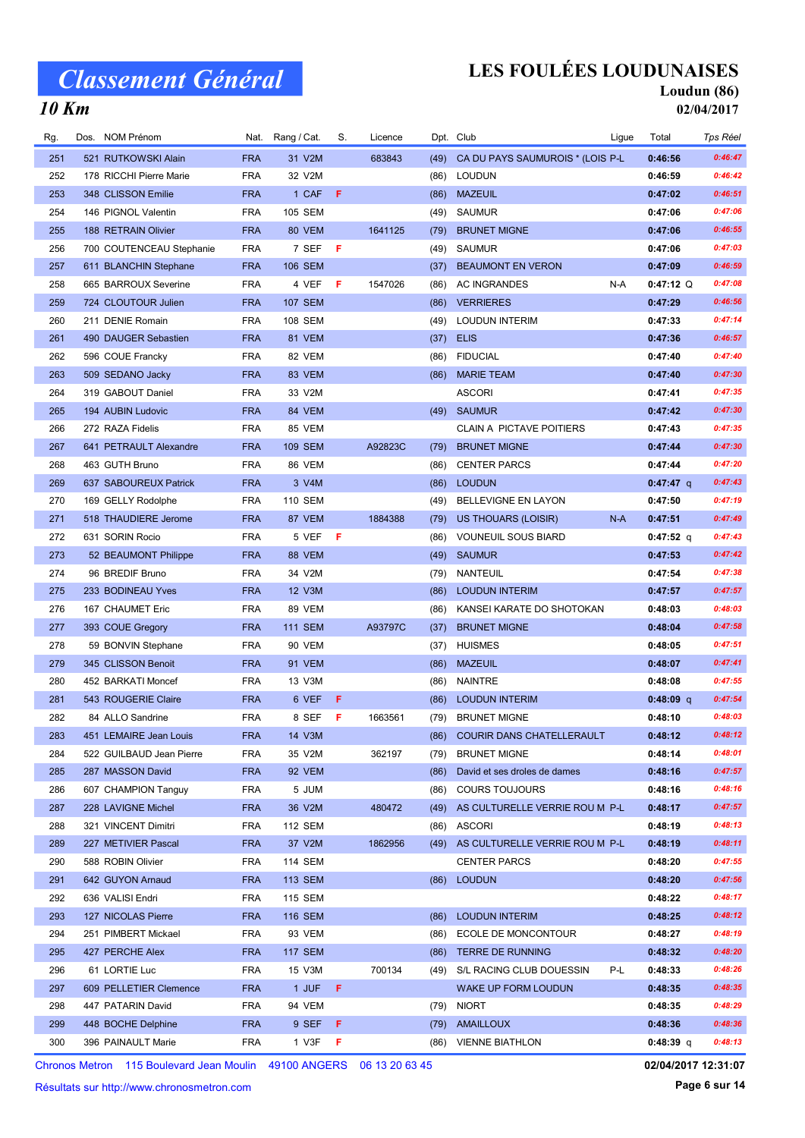# LES FOULÉES LOUDUNAISES

#### Loudun (86) 02/04/2017

| Rg. | Dos. | <b>NOM Prénom</b>                                                       | Nat.       | Rang / Cat.    | S.  | Licence |      | Dpt. Club                           | Ligue | Total               | Tps Réel |
|-----|------|-------------------------------------------------------------------------|------------|----------------|-----|---------|------|-------------------------------------|-------|---------------------|----------|
| 251 |      | 521 RUTKOWSKI Alain                                                     | <b>FRA</b> | 31 V2M         |     | 683843  | (49) | CA DU PAYS SAUMUROIS * (LOIS P-L    |       | 0:46:56             | 0:46:47  |
| 252 |      | 178 RICCHI Pierre Marie                                                 | <b>FRA</b> | 32 V2M         |     |         | (86) | <b>LOUDUN</b>                       |       | 0:46:59             | 0:46:42  |
| 253 |      | 348 CLISSON Emilie                                                      | <b>FRA</b> | 1 CAF          | F   |         | (86) | <b>MAZEUIL</b>                      |       | 0:47:02             | 0:46:51  |
| 254 |      | 146 PIGNOL Valentin                                                     | <b>FRA</b> | 105 SEM        |     |         | (49) | SAUMUR                              |       | 0:47:06             | 0:47:06  |
| 255 |      | 188 RETRAIN Olivier                                                     | <b>FRA</b> | 80 VEM         |     | 1641125 | (79) | <b>BRUNET MIGNE</b>                 |       | 0:47:06             | 0:46:55  |
| 256 |      | 700 COUTENCEAU Stephanie                                                | <b>FRA</b> | 7 SEF          | - F |         | (49) | <b>SAUMUR</b>                       |       | 0:47:06             | 0:47:03  |
| 257 |      | 611 BLANCHIN Stephane                                                   | <b>FRA</b> | <b>106 SEM</b> |     |         | (37) | <b>BEAUMONT EN VERON</b>            |       | 0:47:09             | 0:46:59  |
| 258 |      | 665 BARROUX Severine                                                    | <b>FRA</b> | 4 VEF          | F   | 1547026 | (86) | <b>AC INGRANDES</b>                 | N-A   | $0:47:12$ Q         | 0:47:08  |
| 259 |      | 724 CLOUTOUR Julien                                                     | <b>FRA</b> | <b>107 SEM</b> |     |         | (86) | <b>VERRIERES</b>                    |       | 0:47:29             | 0:46:56  |
| 260 |      | 211 DENIE Romain                                                        | <b>FRA</b> | 108 SEM        |     |         | (49) | <b>LOUDUN INTERIM</b>               |       | 0:47:33             | 0:47:14  |
| 261 |      | 490 DAUGER Sebastien                                                    | <b>FRA</b> | 81 VEM         |     |         | (37) | <b>ELIS</b>                         |       | 0:47:36             | 0:46:57  |
| 262 |      | 596 COUE Francky                                                        | <b>FRA</b> | 82 VEM         |     |         | (86) | <b>FIDUCIAL</b>                     |       | 0:47:40             | 0:47:40  |
| 263 |      | 509 SEDANO Jacky                                                        | <b>FRA</b> | 83 VEM         |     |         | (86) | <b>MARIE TEAM</b>                   |       | 0:47:40             | 0:47:30  |
| 264 |      | 319 GABOUT Daniel                                                       | FRA        | 33 V2M         |     |         |      | <b>ASCORI</b>                       |       | 0:47:41             | 0:47:35  |
| 265 |      | 194 AUBIN Ludovic                                                       | <b>FRA</b> | 84 VEM         |     |         | (49) | <b>SAUMUR</b>                       |       | 0:47:42             | 0:47:30  |
| 266 |      | 272 RAZA Fidelis                                                        | <b>FRA</b> | 85 VEM         |     |         |      | <b>CLAIN A PICTAVE POITIERS</b>     |       | 0:47:43             | 0:47:35  |
| 267 |      | 641 PETRAULT Alexandre                                                  | <b>FRA</b> | <b>109 SEM</b> |     | A92823C | (79) | <b>BRUNET MIGNE</b>                 |       | 0:47:44             | 0:47:30  |
| 268 |      | 463 GUTH Bruno                                                          | <b>FRA</b> | 86 VEM         |     |         | (86) | <b>CENTER PARCS</b>                 |       | 0:47:44             | 0:47:20  |
| 269 |      | 637 SABOUREUX Patrick                                                   | <b>FRA</b> | 3 V4M          |     |         | (86) | <b>LOUDUN</b>                       |       | $0:47:47$ q         | 0:47:43  |
| 270 |      | 169 GELLY Rodolphe                                                      | <b>FRA</b> | 110 SEM        |     |         | (49) | BELLEVIGNE EN LAYON                 |       | 0:47:50             | 0:47:19  |
| 271 |      | 518 THAUDIERE Jerome                                                    | <b>FRA</b> | 87 VEM         |     | 1884388 | (79) | <b>US THOUARS (LOISIR)</b>          | N-A   | 0:47:51             | 0:47:49  |
| 272 |      | 631 SORIN Rocio                                                         | FRA        | 5 VEF          | F   |         | (86) | <b>VOUNEUIL SOUS BIARD</b>          |       | $0:47:52$ q         | 0:47:43  |
| 273 |      | 52 BEAUMONT Philippe                                                    | <b>FRA</b> | 88 VEM         |     |         | (49) | <b>SAUMUR</b>                       |       | 0:47:53             | 0:47:42  |
| 274 |      | 96 BREDIF Bruno                                                         | FRA        | 34 V2M         |     |         | (79) | <b>NANTEUIL</b>                     |       | 0:47:54             | 0:47:38  |
| 275 |      | 233 BODINEAU Yves                                                       | <b>FRA</b> | 12 V3M         |     |         | (86) | <b>LOUDUN INTERIM</b>               |       | 0:47:57             | 0:47:57  |
| 276 |      | 167 CHAUMET Eric                                                        | <b>FRA</b> | 89 VEM         |     |         | (86) | KANSEI KARATE DO SHOTOKAN           |       | 0:48:03             | 0:48:03  |
| 277 |      | 393 COUE Gregory                                                        | <b>FRA</b> | <b>111 SEM</b> |     | A93797C | (37) | <b>BRUNET MIGNE</b>                 |       | 0:48:04             | 0:47:58  |
| 278 |      | 59 BONVIN Stephane                                                      | FRA        | <b>90 VEM</b>  |     |         | (37) | <b>HUISMES</b>                      |       | 0:48:05             | 0:47:51  |
| 279 |      | 345 CLISSON Benoit                                                      | <b>FRA</b> | 91 VEM         |     |         | (86) | <b>MAZEUIL</b>                      |       | 0:48:07             | 0:47:41  |
| 280 |      | 452 BARKATI Moncef                                                      | <b>FRA</b> | 13 V3M         |     |         | (86) | <b>NAINTRE</b>                      |       | 0:48:08             | 0:47:55  |
| 281 |      | 543 ROUGERIE Claire                                                     | <b>FRA</b> | 6 VEF          | F   |         | (86) | <b>LOUDUN INTERIM</b>               |       | 0:48:09 q           | 0:47:54  |
| 282 |      | 84 ALLO Sandrine                                                        | <b>FRA</b> | 8 SEF          | F   | 1663561 | (79) | <b>BRUNET MIGNE</b>                 |       | 0:48:10             | 0:48:03  |
| 283 |      | 451 LEMAIRE Jean Louis                                                  | <b>FRA</b> | 14 V3M         |     |         |      | (86) COURIR DANS CHATELLERAULT      |       | 0:48:12             | 0:48:12  |
| 284 |      | 522 GUILBAUD Jean Pierre                                                | FRA        | 35 V2M         |     | 362197  | (79) | <b>BRUNET MIGNE</b>                 |       | 0:48:14             | 0:48:01  |
| 285 |      | 287 MASSON David                                                        | <b>FRA</b> | 92 VEM         |     |         | (86) | David et ses droles de dames        |       | 0:48:16             | 0:47:57  |
| 286 |      | 607 CHAMPION Tanguy                                                     | FRA        | 5 JUM          |     |         | (86) | <b>COURS TOUJOURS</b>               |       | 0:48:16             | 0:48:16  |
| 287 |      | 228 LAVIGNE Michel                                                      | <b>FRA</b> | 36 V2M         |     | 480472  | (49) | AS CULTURELLE VERRIE ROU M P-L      |       | 0:48:17             | 0:47:57  |
| 288 |      | 321 VINCENT Dimitri                                                     | FRA        | 112 SEM        |     |         | (86) | <b>ASCORI</b>                       |       | 0:48:19             | 0:48:13  |
| 289 |      | 227 METIVIER Pascal                                                     | <b>FRA</b> | 37 V2M         |     | 1862956 |      | (49) AS CULTURELLE VERRIE ROU M P-L |       | 0:48:19             | 0:48:11  |
| 290 |      | 588 ROBIN Olivier                                                       | <b>FRA</b> | 114 SEM        |     |         |      | <b>CENTER PARCS</b>                 |       | 0:48:20             | 0:47:55  |
| 291 |      | 642 GUYON Arnaud                                                        | <b>FRA</b> | 113 SEM        |     |         | (86) | <b>LOUDUN</b>                       |       | 0:48:20             | 0:47:56  |
| 292 |      | 636 VALISI Endri                                                        | <b>FRA</b> | 115 SEM        |     |         |      |                                     |       | 0:48:22             | 0:48:17  |
| 293 |      | 127 NICOLAS Pierre                                                      | <b>FRA</b> | <b>116 SEM</b> |     |         | (86) | <b>LOUDUN INTERIM</b>               |       | 0:48:25             | 0:48:12  |
| 294 |      | 251 PIMBERT Mickael                                                     | FRA        | 93 VEM         |     |         | (86) | ECOLE DE MONCONTOUR                 |       | 0:48:27             | 0:48:19  |
| 295 |      | 427 PERCHE Alex                                                         | <b>FRA</b> | <b>117 SEM</b> |     |         | (86) | TERRE DE RUNNING                    |       | 0:48:32             | 0:48:20  |
| 296 |      | 61 LORTIE Luc                                                           | FRA        | 15 V3M         |     | 700134  | (49) | S/L RACING CLUB DOUESSIN            | P-L   | 0:48:33             | 0:48:26  |
| 297 |      | 609 PELLETIER Clemence                                                  | <b>FRA</b> | 1 JUF          | F   |         |      | WAKE UP FORM LOUDUN                 |       | 0:48:35             | 0:48:35  |
| 298 |      | 447 PATARIN David                                                       | FRA        | 94 VEM         |     |         | (79) | <b>NIORT</b>                        |       | 0:48:35             | 0:48:29  |
| 299 |      | 448 BOCHE Delphine                                                      | <b>FRA</b> | 9 SEF          | F   |         | (79) | <b>AMAILLOUX</b>                    |       | 0:48:36             | 0:48:36  |
| 300 |      | 396 PAINAULT Marie                                                      | FRA        | 1 V3F          | F   |         |      | (86) VIENNE BIATHLON                |       | $0:48:39$ q         | 0:48:13  |
|     |      |                                                                         |            |                |     |         |      |                                     |       |                     |          |
|     |      | Chronos Metron  115 Boulevard Jean Moulin  49100 ANGERS  06 13 20 63 45 |            |                |     |         |      |                                     |       | 02/04/2017 12:31:07 |          |

Chronos Metron 115 Boulevard Jean Moulin 49100 ANGERS 06 13 20 63 45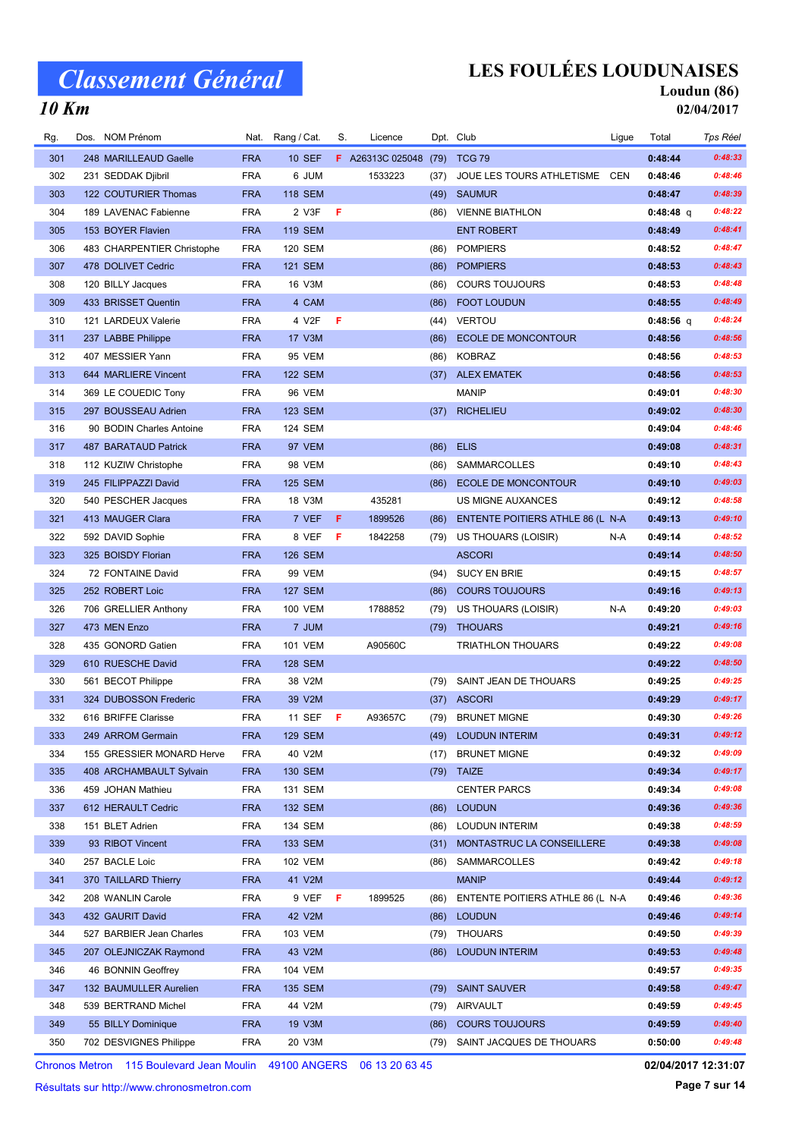# LES FOULÉES LOUDUNAISES

### Loudun (86)

10 Km

| 02/04/2017 |  |
|------------|--|

| Rg. | Dos. NOM Prénom            | Nat.       | Rang / Cat.    | S. | Licence                      |      | Dpt. Club                        | Ligue | Total       | Tps Réel |
|-----|----------------------------|------------|----------------|----|------------------------------|------|----------------------------------|-------|-------------|----------|
| 301 | 248 MARILLEAUD Gaelle      | <b>FRA</b> | <b>10 SEF</b>  |    | F A26313C 025048 (79) TCG 79 |      |                                  |       | 0:48:44     | 0:48:33  |
| 302 | 231 SEDDAK Djibril         | <b>FRA</b> | 6 JUM          |    | 1533223                      | (37) | JOUE LES TOURS ATHLETISME CEN    |       | 0:48:46     | 0:48:46  |
| 303 | 122 COUTURIER Thomas       | <b>FRA</b> | <b>118 SEM</b> |    |                              | (49) | <b>SAUMUR</b>                    |       | 0:48:47     | 0:48:39  |
| 304 | 189 LAVENAC Fabienne       | <b>FRA</b> | 2 V3F          | F  |                              |      | (86) VIENNE BIATHLON             |       | $0:48:48$ q | 0:48:22  |
| 305 | 153 BOYER Flavien          | <b>FRA</b> | <b>119 SEM</b> |    |                              |      | <b>ENT ROBERT</b>                |       | 0:48:49     | 0:48:41  |
| 306 | 483 CHARPENTIER Christophe | <b>FRA</b> | <b>120 SEM</b> |    |                              | (86) | <b>POMPIERS</b>                  |       | 0:48:52     | 0:48:47  |
| 307 | 478 DOLIVET Cedric         | <b>FRA</b> | <b>121 SEM</b> |    |                              | (86) | <b>POMPIERS</b>                  |       | 0:48:53     | 0:48:43  |
| 308 | 120 BILLY Jacques          | <b>FRA</b> | 16 V3M         |    |                              | (86) | <b>COURS TOUJOURS</b>            |       | 0:48:53     | 0:48:48  |
| 309 | 433 BRISSET Quentin        | <b>FRA</b> | 4 CAM          |    |                              | (86) | <b>FOOT LOUDUN</b>               |       | 0:48:55     | 0:48:49  |
| 310 | 121 LARDEUX Valerie        | <b>FRA</b> | 4 V2F          | F  |                              | (44) | <b>VERTOU</b>                    |       | $0:48:56$ q | 0:48:24  |
| 311 | 237 LABBE Philippe         | <b>FRA</b> | 17 V3M         |    |                              | (86) | ECOLE DE MONCONTOUR              |       | 0:48:56     | 0:48:56  |
| 312 | 407 MESSIER Yann           | <b>FRA</b> | 95 VEM         |    |                              | (86) | <b>KOBRAZ</b>                    |       | 0:48:56     | 0:48:53  |
| 313 | 644 MARLIERE Vincent       | <b>FRA</b> | <b>122 SEM</b> |    |                              | (37) | <b>ALEX EMATEK</b>               |       | 0:48:56     | 0:48:53  |
| 314 | 369 LE COUEDIC Tony        | <b>FRA</b> | 96 VEM         |    |                              |      | <b>MANIP</b>                     |       | 0:49:01     | 0:48:30  |
| 315 | 297 BOUSSEAU Adrien        | <b>FRA</b> | <b>123 SEM</b> |    |                              | (37) | <b>RICHELIEU</b>                 |       | 0:49:02     | 0:48:30  |
| 316 | 90 BODIN Charles Antoine   | <b>FRA</b> | 124 SEM        |    |                              |      |                                  |       | 0:49:04     | 0:48:46  |
| 317 | 487 BARATAUD Patrick       | <b>FRA</b> | 97 VEM         |    |                              | (86) | <b>ELIS</b>                      |       | 0:49:08     | 0:48:31  |
| 318 | 112 KUZIW Christophe       | <b>FRA</b> | <b>98 VEM</b>  |    |                              | (86) | <b>SAMMARCOLLES</b>              |       | 0:49:10     | 0:48:43  |
| 319 | 245 FILIPPAZZI David       | <b>FRA</b> | <b>125 SEM</b> |    |                              | (86) | <b>ECOLE DE MONCONTOUR</b>       |       | 0:49:10     | 0:49:03  |
| 320 | 540 PESCHER Jacques        | <b>FRA</b> | 18 V3M         |    | 435281                       |      | US MIGNE AUXANCES                |       | 0:49:12     | 0:48:58  |
| 321 | 413 MAUGER Clara           | <b>FRA</b> | 7 VEF          | F  | 1899526                      | (86) | ENTENTE POITIERS ATHLE 86 (L N-A |       | 0:49:13     | 0:49:10  |
| 322 | 592 DAVID Sophie           | <b>FRA</b> | 8 VEF          | F  | 1842258                      | (79) | US THOUARS (LOISIR)              | N-A   | 0:49:14     | 0:48:52  |
| 323 | 325 BOISDY Florian         | <b>FRA</b> | <b>126 SEM</b> |    |                              |      | <b>ASCORI</b>                    |       | 0:49:14     | 0:48:50  |
| 324 | 72 FONTAINE David          | <b>FRA</b> | 99 VEM         |    |                              | (94) | <b>SUCY EN BRIE</b>              |       | 0:49:15     | 0:48:57  |
| 325 | 252 ROBERT Loic            | <b>FRA</b> | <b>127 SEM</b> |    |                              | (86) | <b>COURS TOUJOURS</b>            |       | 0:49:16     | 0:49:13  |
| 326 | 706 GRELLIER Anthony       | <b>FRA</b> | 100 VEM        |    | 1788852                      | (79) | US THOUARS (LOISIR)              | N-A   | 0:49:20     | 0:49:03  |
| 327 | 473 MEN Enzo               | <b>FRA</b> | 7 JUM          |    |                              | (79) | <b>THOUARS</b>                   |       | 0:49:21     | 0:49:16  |
| 328 | 435 GONORD Gatien          | <b>FRA</b> | <b>101 VEM</b> |    | A90560C                      |      | TRIATHLON THOUARS                |       | 0:49:22     | 0:49:08  |
| 329 | 610 RUESCHE David          | <b>FRA</b> | <b>128 SEM</b> |    |                              |      |                                  |       | 0:49:22     | 0:48:50  |
| 330 | 561 BECOT Philippe         | <b>FRA</b> | 38 V2M         |    |                              | (79) | SAINT JEAN DE THOUARS            |       | 0:49:25     | 0:49:25  |
| 331 | 324 DUBOSSON Frederic      | <b>FRA</b> | 39 V2M         |    |                              | (37) | <b>ASCORI</b>                    |       | 0:49:29     | 0:49:17  |
| 332 | 616 BRIFFE Clarisse        | <b>FRA</b> | 11 SEF         | F  | A93657C                      | (79) | <b>BRUNET MIGNE</b>              |       | 0:49:30     | 0:49:26  |
| 333 | 249 ARROM Germain          | <b>FRA</b> | <b>129 SEM</b> |    |                              |      | (49) LOUDUN INTERIM              |       | 0:49:31     | 0:49:12  |
| 334 | 155 GRESSIER MONARD Herve  | FRA        | 40 V2M         |    |                              | (17) | <b>BRUNET MIGNE</b>              |       | 0:49:32     | 0:49:09  |
| 335 | 408 ARCHAMBAULT Sylvain    | <b>FRA</b> | <b>130 SEM</b> |    |                              |      | $(79)$ TAIZE                     |       | 0:49:34     | 0:49:17  |
| 336 | 459 JOHAN Mathieu          | <b>FRA</b> | 131 SEM        |    |                              |      | <b>CENTER PARCS</b>              |       | 0:49:34     | 0:49:08  |
| 337 | 612 HERAULT Cedric         | <b>FRA</b> | 132 SEM        |    |                              | (86) | <b>LOUDUN</b>                    |       | 0:49:36     | 0:49:36  |
| 338 | 151 BLET Adrien            | <b>FRA</b> | 134 SEM        |    |                              | (86) | <b>LOUDUN INTERIM</b>            |       | 0:49:38     | 0:48:59  |
| 339 | 93 RIBOT Vincent           | <b>FRA</b> | 133 SEM        |    |                              | (31) | MONTASTRUC LA CONSEILLERE        |       | 0:49:38     | 0:49:08  |
| 340 | 257 BACLE Loic             | <b>FRA</b> | 102 VEM        |    |                              | (86) | SAMMARCOLLES                     |       | 0:49:42     | 0:49:18  |
| 341 | 370 TAILLARD Thierry       | <b>FRA</b> | 41 V2M         |    |                              |      | <b>MANIP</b>                     |       | 0:49:44     | 0:49:12  |
| 342 | 208 WANLIN Carole          | <b>FRA</b> | 9 VEFF         |    | 1899525                      | (86) | ENTENTE POITIERS ATHLE 86 (L N-A |       | 0:49:46     | 0:49:36  |
| 343 | 432 GAURIT David           | <b>FRA</b> | 42 V2M         |    |                              | (86) | <b>LOUDUN</b>                    |       | 0:49:46     | 0:49:14  |
| 344 | 527 BARBIER Jean Charles   | <b>FRA</b> | 103 VEM        |    |                              |      | (79) THOUARS                     |       | 0:49:50     | 0:49:39  |
| 345 | 207 OLEJNICZAK Raymond     | <b>FRA</b> | 43 V2M         |    |                              | (86) | <b>LOUDUN INTERIM</b>            |       | 0:49:53     | 0:49:48  |
| 346 | 46 BONNIN Geoffrey         | <b>FRA</b> | 104 VEM        |    |                              |      |                                  |       | 0:49:57     | 0:49:35  |
| 347 | 132 BAUMULLER Aurelien     | <b>FRA</b> | 135 SEM        |    |                              | (79) | <b>SAINT SAUVER</b>              |       | 0:49:58     | 0:49:47  |
| 348 | 539 BERTRAND Michel        | <b>FRA</b> | 44 V2M         |    |                              | (79) | AIRVAULT                         |       | 0:49:59     | 0:49:45  |
| 349 | 55 BILLY Dominique         | <b>FRA</b> | 19 V3M         |    |                              | (86) | <b>COURS TOUJOURS</b>            |       | 0:49:59     | 0:49:40  |
| 350 | 702 DESVIGNES Philippe     | <b>FRA</b> | 20 V3M         |    |                              |      | (79) SAINT JACQUES DE THOUARS    |       | 0:50:00     | 0:49:48  |
|     |                            |            |                |    |                              |      |                                  |       |             |          |

Chronos Metron 115 Boulevard Jean Moulin 49100 ANGERS 06 13 20 63 45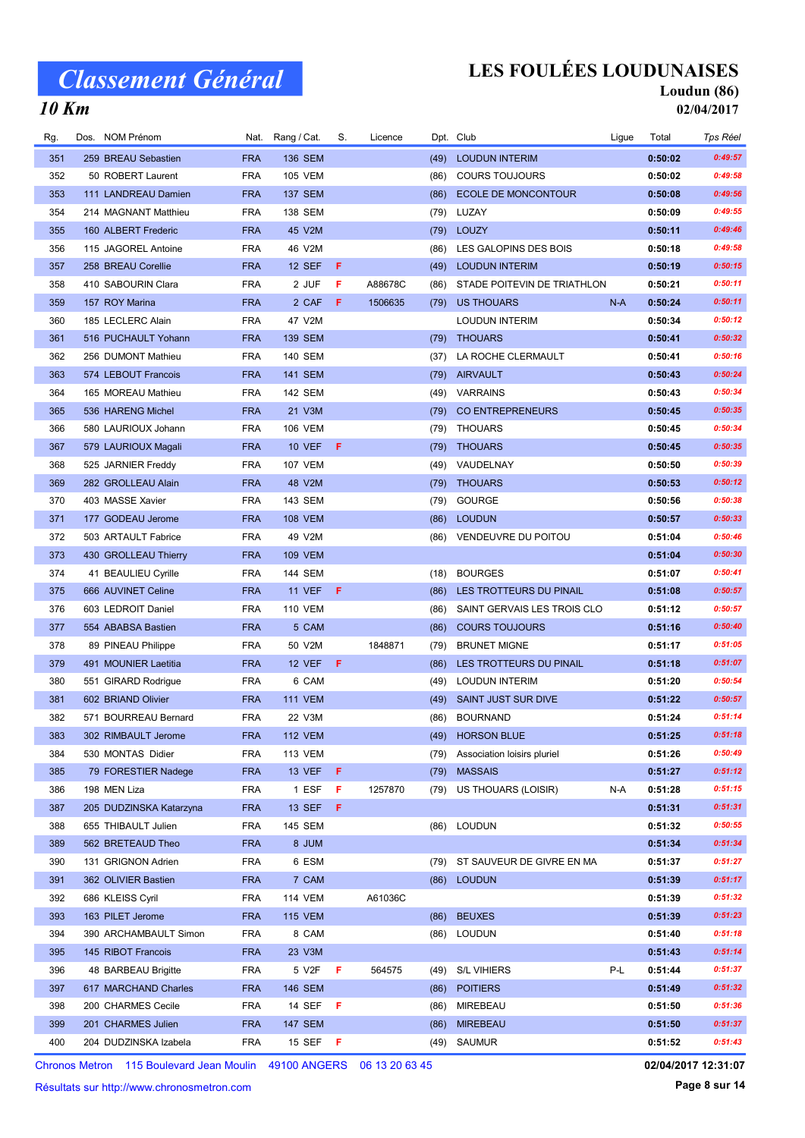10 Km

## LES FOULÉES LOUDUNAISES

# Loudun (86)

02/04/2017

| Rg. | Dos. NOM Prénom         | Nat.       | Rang / Cat.    | S.  | Licence |      | Dpt. Club                   | Ligue | Total   | Tps Réel |
|-----|-------------------------|------------|----------------|-----|---------|------|-----------------------------|-------|---------|----------|
| 351 | 259 BREAU Sebastien     | <b>FRA</b> | <b>136 SEM</b> |     |         | (49) | <b>LOUDUN INTERIM</b>       |       | 0:50:02 | 0:49:57  |
| 352 | 50 ROBERT Laurent       | <b>FRA</b> | <b>105 VEM</b> |     |         | (86) | <b>COURS TOUJOURS</b>       |       | 0:50:02 | 0:49:58  |
| 353 | 111 LANDREAU Damien     | <b>FRA</b> | <b>137 SEM</b> |     |         | (86) | ECOLE DE MONCONTOUR         |       | 0:50:08 | 0:49:56  |
| 354 | 214 MAGNANT Matthieu    | <b>FRA</b> | 138 SEM        |     |         | (79) | LUZAY                       |       | 0:50:09 | 0:49:55  |
| 355 | 160 ALBERT Frederic     | <b>FRA</b> | 45 V2M         |     |         | (79) | LOUZY                       |       | 0:50:11 | 0:49:46  |
| 356 | 115 JAGOREL Antoine     | <b>FRA</b> | 46 V2M         |     |         | (86) | LES GALOPINS DES BOIS       |       | 0:50:18 | 0:49:58  |
| 357 | 258 BREAU Corellie      | <b>FRA</b> | <b>12 SEF</b>  | Æ   |         | (49) | <b>LOUDUN INTERIM</b>       |       | 0:50:19 | 0:50:15  |
| 358 | 410 SABOURIN Clara      | <b>FRA</b> | 2 JUF          | F   | A88678C | (86) | STADE POITEVIN DE TRIATHLON |       | 0:50:21 | 0:50:11  |
| 359 | 157 ROY Marina          | <b>FRA</b> | 2 CAF          | -F. | 1506635 | (79) | <b>US THOUARS</b>           | $N-A$ | 0:50:24 | 0:50:11  |
| 360 | 185 LECLERC Alain       | <b>FRA</b> | 47 V2M         |     |         |      | LOUDUN INTERIM              |       | 0:50:34 | 0:50:12  |
| 361 | 516 PUCHAULT Yohann     | <b>FRA</b> | 139 SEM        |     |         | (79) | <b>THOUARS</b>              |       | 0:50:41 | 0:50:32  |
| 362 | 256 DUMONT Mathieu      | <b>FRA</b> | 140 SEM        |     |         | (37) | LA ROCHE CLERMAULT          |       | 0:50:41 | 0:50:16  |
| 363 | 574 LEBOUT Francois     | <b>FRA</b> | <b>141 SEM</b> |     |         | (79) | AIRVAULT                    |       | 0:50:43 | 0:50:24  |
| 364 | 165 MOREAU Mathieu      | <b>FRA</b> | 142 SEM        |     |         | (49) | VARRAINS                    |       | 0:50:43 | 0:50:34  |
| 365 | 536 HARENG Michel       | <b>FRA</b> | 21 V3M         |     |         | (79) | CO ENTREPRENEURS            |       | 0:50:45 | 0:50:35  |
| 366 | 580 LAURIOUX Johann     | <b>FRA</b> | <b>106 VEM</b> |     |         | (79) | THOUARS                     |       | 0:50:45 | 0:50:34  |
| 367 | 579 LAURIOUX Magali     | <b>FRA</b> | <b>10 VEF</b>  | -F  |         | (79) | <b>THOUARS</b>              |       | 0:50:45 | 0:50:35  |
| 368 | 525 JARNIER Freddy      | <b>FRA</b> | <b>107 VEM</b> |     |         | (49) | VAUDELNAY                   |       | 0:50:50 | 0:50:39  |
| 369 | 282 GROLLEAU Alain      | <b>FRA</b> | 48 V2M         |     |         | (79) | <b>THOUARS</b>              |       | 0:50:53 | 0:50:12  |
| 370 | 403 MASSE Xavier        | <b>FRA</b> | 143 SEM        |     |         | (79) | <b>GOURGE</b>               |       | 0:50:56 | 0:50:38  |
| 371 | 177 GODEAU Jerome       | <b>FRA</b> | <b>108 VEM</b> |     |         | (86) | <b>LOUDUN</b>               |       | 0:50:57 | 0:50:33  |
| 372 | 503 ARTAULT Fabrice     | <b>FRA</b> | 49 V2M         |     |         | (86) | VENDEUVRE DU POITOU         |       | 0:51:04 | 0:50:46  |
| 373 | 430 GROLLEAU Thierry    | <b>FRA</b> | <b>109 VEM</b> |     |         |      |                             |       | 0:51:04 | 0:50:30  |
| 374 | 41 BEAULIEU Cyrille     | <b>FRA</b> | 144 SEM        |     |         | (18) | <b>BOURGES</b>              |       | 0:51:07 | 0:50:41  |
| 375 | 666 AUVINET Celine      | <b>FRA</b> | <b>11 VEF</b>  | -F  |         | (86) | LES TROTTEURS DU PINAIL     |       | 0:51:08 | 0:50:57  |
| 376 | 603 LEDROIT Daniel      | <b>FRA</b> | <b>110 VEM</b> |     |         | (86) | SAINT GERVAIS LES TROIS CLO |       | 0:51:12 | 0:50:57  |
| 377 | 554 ABABSA Bastien      | <b>FRA</b> | 5 CAM          |     |         | (86) | <b>COURS TOUJOURS</b>       |       | 0:51:16 | 0:50:40  |
| 378 | 89 PINEAU Philippe      | <b>FRA</b> | 50 V2M         |     | 1848871 | (79) | <b>BRUNET MIGNE</b>         |       | 0:51:17 | 0:51:05  |
| 379 | 491 MOUNIER Laetitia    | <b>FRA</b> | <b>12 VEF</b>  | -F  |         | (86) | LES TROTTEURS DU PINAIL     |       | 0:51:18 | 0:51:07  |
| 380 | 551 GIRARD Rodrigue     | <b>FRA</b> | 6 CAM          |     |         | (49) | <b>LOUDUN INTERIM</b>       |       | 0:51:20 | 0:50:54  |
| 381 | 602 BRIAND Olivier      | <b>FRA</b> | <b>111 VEM</b> |     |         | (49) | <b>SAINT JUST SUR DIVE</b>  |       | 0:51:22 | 0:50:57  |
| 382 | 571 BOURREAU Bernard    | <b>FRA</b> | 22 V3M         |     |         | (86) | <b>BOURNAND</b>             |       | 0:51:24 | 0:51:14  |
| 383 | 302 RIMBAULT Jerome     | <b>FRA</b> | <b>112 VEM</b> |     |         |      | (49) HORSON BLUE            |       | 0:51:25 | 0:51:18  |
| 384 | 530 MONTAS Didier       | <b>FRA</b> | <b>113 VEM</b> |     |         | (79) | Association loisirs pluriel |       | 0:51:26 | 0:50:49  |
| 385 | 79 FORESTIER Nadege     | <b>FRA</b> | <b>13 VEF</b>  | -F  |         | (79) | <b>MASSAIS</b>              |       | 0:51:27 | 0:51:12  |
| 386 | 198 MEN Liza            | <b>FRA</b> | 1 ESF          | F   | 1257870 | (79) | US THOUARS (LOISIR)         | N-A   | 0:51:28 | 0:51:15  |
| 387 | 205 DUDZINSKA Katarzyna | <b>FRA</b> | <b>13 SEF</b>  | F   |         |      |                             |       | 0:51:31 | 0:51:31  |
| 388 | 655 THIBAULT Julien     | <b>FRA</b> | 145 SEM        |     |         | (86) | <b>LOUDUN</b>               |       | 0:51:32 | 0:50:55  |
| 389 | 562 BRETEAUD Theo       | <b>FRA</b> | 8 JUM          |     |         |      |                             |       | 0:51:34 | 0:51:34  |
| 390 | 131 GRIGNON Adrien      | <b>FRA</b> | 6 ESM          |     |         | (79) | ST SAUVEUR DE GIVRE EN MA   |       | 0:51:37 | 0:51:27  |
| 391 | 362 OLIVIER Bastien     | <b>FRA</b> | 7 CAM          |     |         | (86) | <b>LOUDUN</b>               |       | 0:51:39 | 0:51:17  |
| 392 | 686 KLEISS Cyril        | <b>FRA</b> | <b>114 VEM</b> |     | A61036C |      |                             |       | 0:51:39 | 0:51:32  |
| 393 | 163 PILET Jerome        | <b>FRA</b> | <b>115 VEM</b> |     |         | (86) | <b>BEUXES</b>               |       | 0:51:39 | 0:51:23  |
| 394 | 390 ARCHAMBAULT Simon   | <b>FRA</b> | 8 CAM          |     |         |      | (86) LOUDUN                 |       | 0:51:40 | 0:51:18  |
| 395 | 145 RIBOT Francois      | <b>FRA</b> | 23 V3M         |     |         |      |                             |       | 0:51:43 | 0:51:14  |
| 396 | 48 BARBEAU Brigitte     | <b>FRA</b> | 5 V2F          | F   | 564575  | (49) | <b>S/L VIHIERS</b>          | P-L   | 0:51:44 | 0:51:37  |
| 397 | 617 MARCHAND Charles    | <b>FRA</b> | <b>146 SEM</b> |     |         | (86) | <b>POITIERS</b>             |       | 0:51:49 | 0:51:32  |
| 398 | 200 CHARMES Cecile      | <b>FRA</b> | 14 SEF         | -F  |         | (86) | MIREBEAU                    |       | 0:51:50 | 0:51:36  |
| 399 | 201 CHARMES Julien      | <b>FRA</b> | <b>147 SEM</b> |     |         | (86) | <b>MIREBEAU</b>             |       | 0:51:50 | 0:51:37  |
| 400 | 204 DUDZINSKA Izabela   | <b>FRA</b> | 15 SEF         | - F |         |      | (49) SAUMUR                 |       | 0:51:52 | 0:51:43  |

Chronos Metron 115 Boulevard Jean Moulin 49100 ANGERS 06 13 20 63 45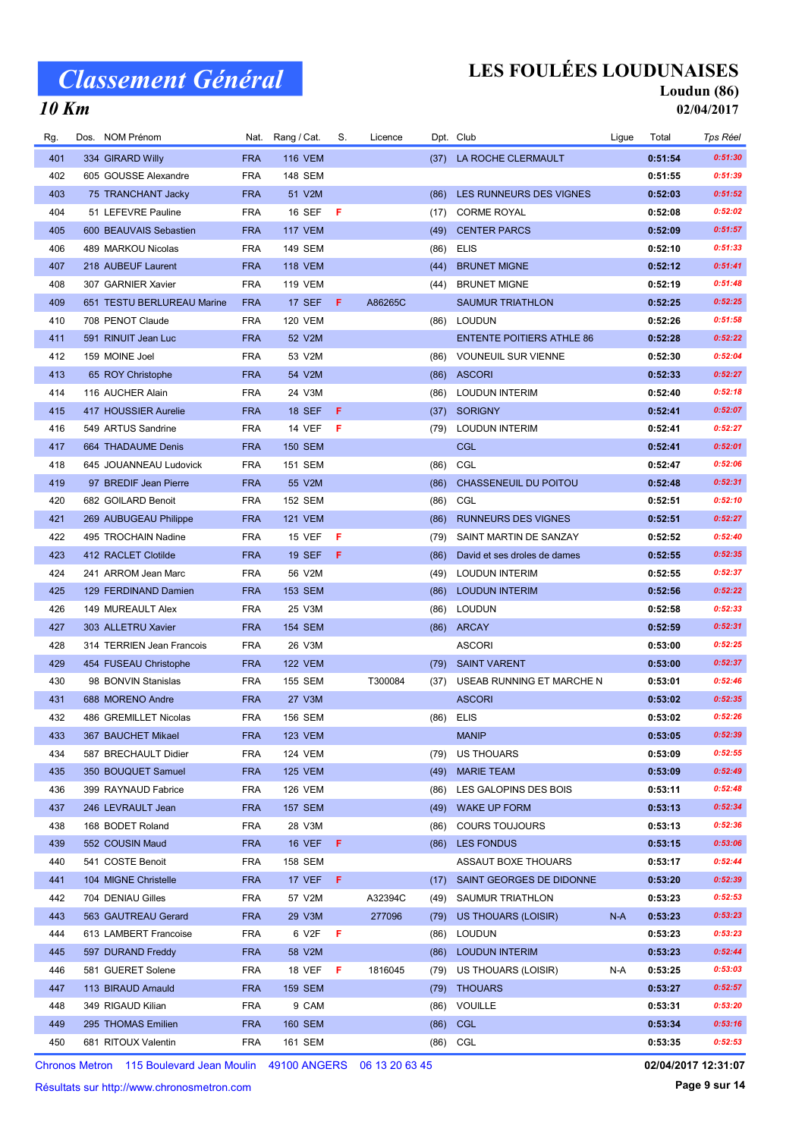### LES FOULÉES LOUDUNAISES

#### Loudun (86) 02/04/2017

### 10 Km

| Rg.        | Dos. NOM Prénom                            | Nat.                     | Rang / Cat.               | S.  | Licence |              | Dpt. Club                                     | Ligue | Total              | Tps Réel |
|------------|--------------------------------------------|--------------------------|---------------------------|-----|---------|--------------|-----------------------------------------------|-------|--------------------|----------|
| 401        | 334 GIRARD Willy                           | <b>FRA</b>               | <b>116 VEM</b>            |     |         |              | (37) LA ROCHE CLERMAULT                       |       | 0:51:54            | 0:51:30  |
| 402        | 605 GOUSSE Alexandre                       | <b>FRA</b>               | 148 SEM                   |     |         |              |                                               |       | 0:51:55            | 0:51:39  |
| 403        | 75 TRANCHANT Jacky                         | <b>FRA</b>               | 51 V2M                    |     |         | (86)         | LES RUNNEURS DES VIGNES                       |       | 0:52:03            | 0:51:52  |
| 404        | 51 LEFEVRE Pauline                         | <b>FRA</b>               | <b>16 SEF</b>             | -F  |         | (17)         | <b>CORME ROYAL</b>                            |       | 0:52:08            | 0:52:02  |
| 405        | 600 BEAUVAIS Sebastien                     | <b>FRA</b>               | <b>117 VEM</b>            |     |         | (49)         | <b>CENTER PARCS</b>                           |       | 0:52:09            | 0:51:57  |
| 406        | 489 MARKOU Nicolas                         | <b>FRA</b>               | 149 SEM                   |     |         | (86)         | <b>ELIS</b>                                   |       | 0:52:10            | 0:51:33  |
| 407        | 218 AUBEUF Laurent                         | <b>FRA</b>               | <b>118 VEM</b>            |     |         | (44)         | <b>BRUNET MIGNE</b>                           |       | 0:52:12            | 0:51:41  |
| 408        | 307 GARNIER Xavier                         | <b>FRA</b>               | <b>119 VEM</b>            |     |         | (44)         | <b>BRUNET MIGNE</b>                           |       | 0:52:19            | 0:51:48  |
| 409        | 651 TESTU BERLUREAU Marine                 | <b>FRA</b>               | 17 SEF                    | - F | A86265C |              | <b>SAUMUR TRIATHLON</b>                       |       | 0:52:25            | 0:52:25  |
| 410        | 708 PENOT Claude                           | <b>FRA</b>               | <b>120 VEM</b>            |     |         | (86)         | <b>LOUDUN</b>                                 |       | 0:52:26            | 0:51:58  |
| 411        | 591 RINUIT Jean Luc                        | <b>FRA</b>               | 52 V2M                    |     |         |              | <b>ENTENTE POITIERS ATHLE 86</b>              |       | 0:52:28            | 0:52:22  |
| 412        | 159 MOINE Joel                             | <b>FRA</b>               | 53 V2M                    |     |         | (86)         | <b>VOUNEUIL SUR VIENNE</b>                    |       | 0:52:30            | 0:52:04  |
| 413        | 65 ROY Christophe                          | <b>FRA</b>               | 54 V2M                    |     |         | (86)         | <b>ASCORI</b>                                 |       | 0:52:33            | 0:52:27  |
| 414        | 116 AUCHER Alain                           | <b>FRA</b>               | 24 V3M                    |     |         | (86)         | <b>LOUDUN INTERIM</b>                         |       | 0:52:40            | 0:52:18  |
| 415        | 417 HOUSSIER Aurelie                       | <b>FRA</b>               | <b>18 SEF</b>             | -F  |         | (37)         | <b>SORIGNY</b>                                |       | 0:52:41            | 0:52:07  |
| 416        | 549 ARTUS Sandrine                         | <b>FRA</b>               | <b>14 VEF</b>             | F   |         | (79)         | <b>LOUDUN INTERIM</b>                         |       | 0:52:41            | 0:52:27  |
| 417        | 664 THADAUME Denis                         | <b>FRA</b>               | <b>150 SEM</b>            |     |         |              | <b>CGL</b>                                    |       | 0:52:41            | 0:52:01  |
| 418        | 645 JOUANNEAU Ludovick                     | <b>FRA</b>               | 151 SEM                   |     |         | (86)         | CGL                                           |       | 0:52:47            | 0:52:06  |
| 419        | 97 BREDIF Jean Pierre                      | <b>FRA</b>               | 55 V2M                    |     |         | (86)         | CHASSENEUIL DU POITOU                         |       | 0:52:48            | 0:52:31  |
| 420        | 682 GOILARD Benoit                         | <b>FRA</b>               | <b>152 SEM</b>            |     |         | (86)         | CGL                                           |       | 0:52:51            | 0:52:10  |
| 421        | 269 AUBUGEAU Philippe                      | <b>FRA</b>               | <b>121 VEM</b>            |     |         | (86)         | RUNNEURS DES VIGNES                           |       | 0:52:51            | 0:52:27  |
| 422        | 495 TROCHAIN Nadine                        | <b>FRA</b>               | <b>15 VEF</b>             | F.  |         | (79)         | SAINT MARTIN DE SANZAY                        |       | 0:52:52            | 0:52:40  |
| 423        | 412 RACLET Clotilde                        | <b>FRA</b>               | <b>19 SEF</b>             | -F  |         | (86)         | David et ses droles de dames                  |       | 0:52:55            | 0:52:35  |
| 424        | 241 ARROM Jean Marc                        | <b>FRA</b>               | 56 V2M                    |     |         | (49)         | <b>LOUDUN INTERIM</b>                         |       | 0:52:55            | 0:52:37  |
| 425        | 129 FERDINAND Damien                       | <b>FRA</b>               | <b>153 SEM</b>            |     |         | (86)         | <b>LOUDUN INTERIM</b>                         |       | 0:52:56            | 0:52:22  |
| 426        | 149 MUREAULT Alex                          | <b>FRA</b>               | 25 V3M                    |     |         | (86)         | LOUDUN                                        |       | 0:52:58            | 0:52:33  |
| 427        | 303 ALLETRU Xavier                         | <b>FRA</b>               | <b>154 SEM</b>            |     |         |              | (86) ARCAY                                    |       | 0:52:59            | 0:52:31  |
| 428        | 314 TERRIEN Jean Francois                  | <b>FRA</b>               | 26 V3M                    |     |         |              | <b>ASCORI</b>                                 |       | 0:53:00            | 0:52:25  |
| 429        | 454 FUSEAU Christophe                      | <b>FRA</b>               | <b>122 VEM</b>            |     |         |              | (79) SAINT VARENT                             |       | 0:53:00            | 0:52:37  |
| 430        | 98 BONVIN Stanislas                        | <b>FRA</b>               | 155 SEM                   |     | T300084 |              | USEAB RUNNING ET MARCHE N                     |       | 0:53:01            | 0:52:46  |
| 431        | 688 MORENO Andre                           | <b>FRA</b>               | 27 V3M                    |     |         | (37)         | <b>ASCORI</b>                                 |       | 0:53:02            | 0:52:35  |
| 432        | 486 GREMILLET Nicolas                      | <b>FRA</b>               | 156 SEM                   |     |         |              | <b>ELIS</b>                                   |       | 0:53:02            | 0:52:26  |
| 433        |                                            | <b>FRA</b>               |                           |     |         | (86)         |                                               |       | 0:53:05            | 0:52:39  |
| 434        | 367 BAUCHET Mikael                         | <b>FRA</b>               | <b>123 VEM</b>            |     |         |              | <b>MANIP</b>                                  |       |                    | 0:52:55  |
|            | 587 BRECHAULT Didier<br>350 BOUQUET Samuel |                          | 124 VEM<br><b>125 VEM</b> |     |         | (79)         | US THOUARS                                    |       | 0:53:09            | 0:52:49  |
| 435<br>436 | 399 RAYNAUD Fabrice                        | <b>FRA</b><br><b>FRA</b> | <b>126 VEM</b>            |     |         | (49)<br>(86) | <b>MARIE TEAM</b><br>LES GALOPINS DES BOIS    |       | 0:53:09<br>0:53:11 | 0:52:48  |
| 437        | 246 LEVRAULT Jean                          | <b>FRA</b>               | <b>157 SEM</b>            |     |         |              | <b>WAKE UP FORM</b>                           |       | 0:53:13            | 0:52:34  |
|            |                                            |                          |                           |     |         | (49)         |                                               |       |                    | 0:52:36  |
| 438        | 168 BODET Roland                           | <b>FRA</b>               | 28 V3M                    |     |         | (86)         | <b>COURS TOUJOURS</b>                         |       | 0:53:13            | 0:53:06  |
| 439        | 552 COUSIN Maud                            | <b>FRA</b>               | <b>16 VEF</b>             | -F  |         |              | (86) LES FONDUS<br><b>ASSAUT BOXE THOUARS</b> |       | 0:53:15            | 0:52:44  |
| 440        | 541 COSTE Benoit                           | <b>FRA</b>               | 158 SEM                   |     |         |              |                                               |       | 0:53:17            | 0:52:39  |
| 441        | 104 MIGNE Christelle                       | <b>FRA</b>               | <b>17 VEF</b>             | - F |         |              | (17) SAINT GEORGES DE DIDONNE                 |       | 0:53:20            |          |
| 442        | 704 DENIAU Gilles                          | <b>FRA</b>               | 57 V2M                    |     | A32394C | (49)         | SAUMUR TRIATHLON                              |       | 0:53:23            | 0:52:53  |
| 443        | 563 GAUTREAU Gerard                        | <b>FRA</b>               | 29 V3M                    |     | 277096  | (79)         | US THOUARS (LOISIR)                           | $N-A$ | 0:53:23            | 0:53:23  |
| 444        | 613 LAMBERT Francoise                      | <b>FRA</b>               | 6 V2F                     | F   |         | (86)         | <b>LOUDUN</b>                                 |       | 0:53:23            | 0:53:23  |
| 445        | 597 DURAND Freddy                          | <b>FRA</b>               | 58 V2M                    |     |         | (86)         | <b>LOUDUN INTERIM</b>                         |       | 0:53:23            | 0:52:44  |
| 446        | 581 GUERET Solene                          | <b>FRA</b>               | 18 VEF                    | - F | 1816045 | (79)         | US THOUARS (LOISIR)                           | N-A   | 0:53:25            | 0:53:03  |
| 447        | 113 BIRAUD Arnauld                         | <b>FRA</b>               | <b>159 SEM</b>            |     |         |              | (79) THOUARS                                  |       | 0:53:27            | 0:52:57  |
| 448        | 349 RIGAUD Kilian                          | <b>FRA</b>               | 9 CAM                     |     |         |              | (86) VOUILLE                                  |       | 0:53:31            | 0:53:20  |
| 449        | 295 THOMAS Emilien                         | <b>FRA</b>               | <b>160 SEM</b>            |     |         |              | (86) CGL                                      |       | 0:53:34            | 0:53:16  |
| 450        | 681 RITOUX Valentin                        | <b>FRA</b>               | 161 SEM                   |     |         |              | (86) CGL                                      |       | 0:53:35            | 0:52:53  |

Chronos Metron 115 Boulevard Jean Moulin 49100 ANGERS 06 13 20 63 45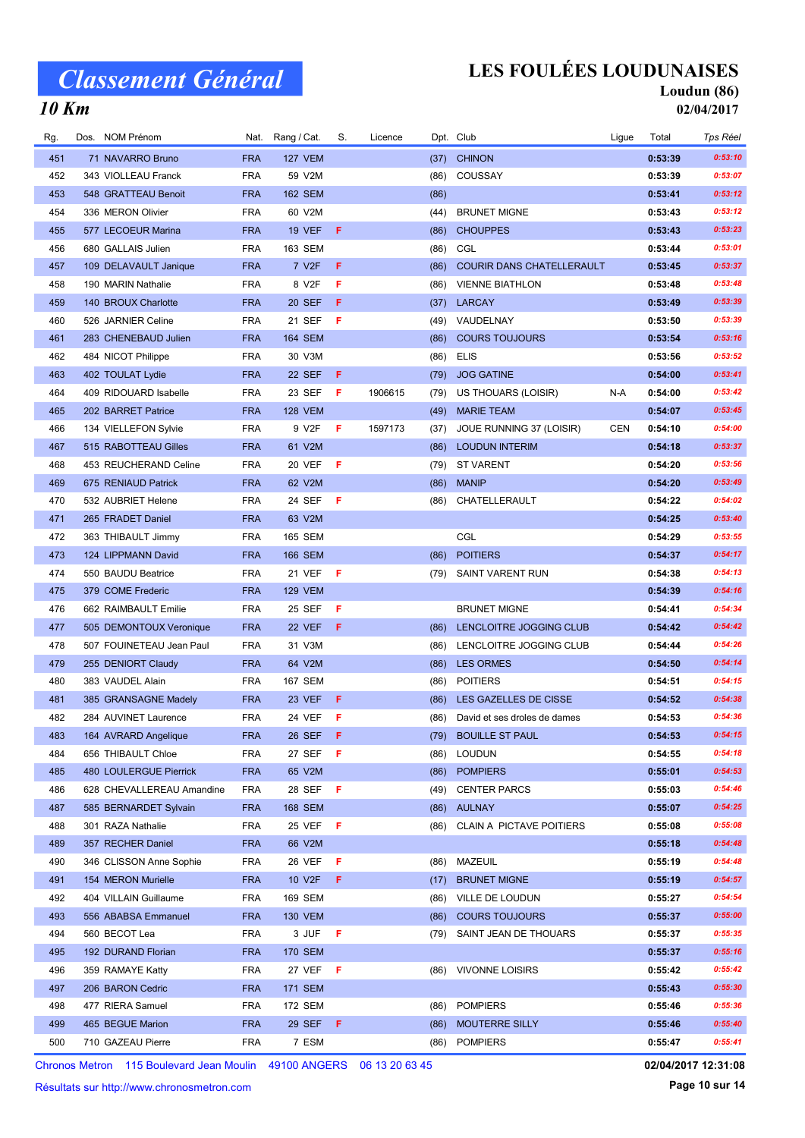## LES FOULÉES LOUDUNAISES

Nat. Rang / Cat. S. Licence Dpt. Club Cub Ligue Total Tps Réel

#### Loudun (86) 02/04/2017

### 10 Km

| 451 | 71 NAVARRO Bruno          | <b>FRA</b> | <b>127 VEM</b>     |              |         | (37) | <b>CHINON</b>                    |            | 0:53:39 | 0:53:10 |
|-----|---------------------------|------------|--------------------|--------------|---------|------|----------------------------------|------------|---------|---------|
| 452 | 343 VIOLLEAU Franck       | <b>FRA</b> | 59 V2M             |              |         | (86) | COUSSAY                          |            | 0:53:39 | 0:53:07 |
| 453 | 548 GRATTEAU Benoit       | <b>FRA</b> | <b>162 SEM</b>     |              |         | (86) |                                  |            | 0:53:41 | 0:53:12 |
| 454 | 336 MERON Olivier         | <b>FRA</b> | 60 V2M             |              |         | (44) | <b>BRUNET MIGNE</b>              |            | 0:53:43 | 0:53:12 |
| 455 | 577 LECOEUR Marina        | <b>FRA</b> | <b>19 VEF</b>      | F.           |         | (86) | <b>CHOUPPES</b>                  |            | 0:53:43 | 0:53:23 |
| 456 | 680 GALLAIS Julien        | <b>FRA</b> | 163 SEM            |              |         | (86) | CGL                              |            | 0:53:44 | 0:53:01 |
| 457 | 109 DELAVAULT Janique     | <b>FRA</b> | 7 V <sub>2</sub> F | F            |         | (86) | <b>COURIR DANS CHATELLERAULT</b> |            | 0:53:45 | 0:53:37 |
| 458 | 190 MARIN Nathalie        | <b>FRA</b> | 8 V2F              | F            |         | (86) | <b>VIENNE BIATHLON</b>           |            | 0:53:48 | 0:53:48 |
| 459 | 140 BROUX Charlotte       | <b>FRA</b> | <b>20 SEF</b>      | F.           |         |      | (37) LARCAY                      |            | 0:53:49 | 0:53:39 |
| 460 | 526 JARNIER Celine        | <b>FRA</b> | 21 SEF             | F            |         | (49) | VAUDELNAY                        |            | 0:53:50 | 0:53:39 |
| 461 | 283 CHENEBAUD Julien      | <b>FRA</b> | <b>164 SEM</b>     |              |         | (86) | <b>COURS TOUJOURS</b>            |            | 0:53:54 | 0:53:16 |
| 462 | 484 NICOT Philippe        | <b>FRA</b> | 30 V3M             |              |         | (86) | <b>ELIS</b>                      |            | 0:53:56 | 0:53:52 |
| 463 | 402 TOULAT Lydie          | <b>FRA</b> | <b>22 SEF</b>      | F            |         | (79) | <b>JOG GATINE</b>                |            | 0:54:00 | 0:53:41 |
| 464 | 409 RIDOUARD Isabelle     | <b>FRA</b> | 23 SEF             | -F           | 1906615 | (79) | US THOUARS (LOISIR)              | N-A        | 0:54:00 | 0:53:42 |
| 465 | 202 BARRET Patrice        | <b>FRA</b> | <b>128 VEM</b>     |              |         | (49) | <b>MARIE TEAM</b>                |            | 0:54:07 | 0:53:45 |
| 466 | 134 VIELLEFON Sylvie      | <b>FRA</b> | 9 V2F              | F            | 1597173 | (37) | JOUE RUNNING 37 (LOISIR)         | <b>CEN</b> | 0:54:10 | 0:54:00 |
| 467 | 515 RABOTTEAU Gilles      | <b>FRA</b> | 61 V2M             |              |         | (86) | <b>LOUDUN INTERIM</b>            |            | 0:54:18 | 0:53:37 |
| 468 | 453 REUCHERAND Celine     | <b>FRA</b> | <b>20 VEF</b>      | - F          |         |      | (79) ST VARENT                   |            | 0:54:20 | 0:53:56 |
| 469 | 675 RENIAUD Patrick       | <b>FRA</b> | 62 V2M             |              |         | (86) | <b>MANIP</b>                     |            | 0:54:20 | 0:53:49 |
| 470 | 532 AUBRIET Helene        | <b>FRA</b> | 24 SEF             | F            |         |      | (86) CHATELLERAULT               |            | 0:54:22 | 0:54:02 |
| 471 | 265 FRADET Daniel         | <b>FRA</b> | 63 V2M             |              |         |      |                                  |            | 0:54:25 | 0:53:40 |
| 472 | 363 THIBAULT Jimmy        | <b>FRA</b> | <b>165 SEM</b>     |              |         |      | CGL                              |            | 0:54:29 | 0:53:55 |
| 473 | 124 LIPPMANN David        | <b>FRA</b> | <b>166 SEM</b>     |              |         | (86) | <b>POITIERS</b>                  |            | 0:54:37 | 0:54:17 |
| 474 | 550 BAUDU Beatrice        | <b>FRA</b> | 21 VEF             | - F          |         |      | (79) SAINT VARENT RUN            |            | 0:54:38 | 0:54:13 |
| 475 | 379 COME Frederic         | <b>FRA</b> | <b>129 VEM</b>     |              |         |      |                                  |            | 0:54:39 | 0:54:16 |
| 476 | 662 RAIMBAULT Emilie      | <b>FRA</b> | 25 SEF             | F            |         |      | <b>BRUNET MIGNE</b>              |            | 0:54:41 | 0:54:34 |
| 477 | 505 DEMONTOUX Veronique   | <b>FRA</b> | <b>22 VEF</b>      | F.           |         | (86) | LENCLOITRE JOGGING CLUB          |            | 0:54:42 | 0:54:42 |
| 478 | 507 FOUINETEAU Jean Paul  | <b>FRA</b> | 31 V3M             |              |         | (86) | LENCLOITRE JOGGING CLUB          |            | 0:54:44 | 0:54:26 |
| 479 | 255 DENIORT Claudy        | <b>FRA</b> | 64 V2M             |              |         |      | (86) LES ORMES                   |            | 0:54:50 | 0:54:14 |
| 480 | 383 VAUDEL Alain          | <b>FRA</b> | 167 SEM            |              |         | (86) | <b>POITIERS</b>                  |            | 0:54:51 | 0:54:15 |
| 481 | 385 GRANSAGNE Madely      | <b>FRA</b> | 23 VEF             | F            |         | (86) | LES GAZELLES DE CISSE            |            | 0:54:52 | 0:54:38 |
| 482 | 284 AUVINET Laurence      | <b>FRA</b> | 24 VEF             | F            |         | (86) | David et ses droles de dames     |            | 0:54:53 | 0:54:36 |
| 483 | 164 AVRARD Angelique      | <b>FRA</b> | <b>26 SEF</b>      | F            |         |      | (79) BOUILLE ST PAUL             |            | 0:54:53 | 0:54:15 |
| 484 | 656 THIBAULT Chloe        | <b>FRA</b> | 27 SEF             | $\mathsf{F}$ |         |      | (86) LOUDUN                      |            | 0:54:55 | 0:54:18 |
| 485 | 480 LOULERGUE Pierrick    | <b>FRA</b> | 65 V2M             |              |         | (86) | <b>POMPIERS</b>                  |            | 0:55:01 | 0:54:53 |
| 486 | 628 CHEVALLEREAU Amandine | <b>FRA</b> | 28 SEF             | - F          |         | (49) | <b>CENTER PARCS</b>              |            | 0:55:03 | 0:54:46 |
| 487 | 585 BERNARDET Sylvain     | <b>FRA</b> | 168 SEM            |              |         |      | (86) AULNAY                      |            | 0:55:07 | 0:54:25 |
| 488 | 301 RAZA Nathalie         | <b>FRA</b> | 25 VEF             | F            |         |      | (86) CLAIN A PICTAVE POITIERS    |            | 0:55:08 | 0:55:08 |
| 489 | 357 RECHER Daniel         | <b>FRA</b> | 66 V2M             |              |         |      |                                  |            | 0:55:18 | 0:54:48 |
| 490 | 346 CLISSON Anne Sophie   | <b>FRA</b> | <b>26 VEF</b>      | F            |         |      | (86) MAZEUIL                     |            | 0:55:19 | 0:54:48 |
| 491 | 154 MERON Murielle        | <b>FRA</b> | 10 V2F             | F.           |         | (17) | <b>BRUNET MIGNE</b>              |            | 0:55:19 | 0:54:57 |
| 492 | 404 VILLAIN Guillaume     | <b>FRA</b> | 169 SEM            |              |         |      | (86) VILLE DE LOUDUN             |            | 0:55:27 | 0:54:54 |
| 493 | 556 ABABSA Emmanuel       | <b>FRA</b> | <b>130 VEM</b>     |              |         | (86) | <b>COURS TOUJOURS</b>            |            | 0:55:37 | 0:55:00 |
| 494 | 560 BECOT Lea             | <b>FRA</b> | 3 JUF              | F            |         | (79) | SAINT JEAN DE THOUARS            |            | 0:55:37 | 0:55:35 |
| 495 | 192 DURAND Florian        | <b>FRA</b> | <b>170 SEM</b>     |              |         |      |                                  |            | 0:55:37 | 0:55:16 |
| 496 | 359 RAMAYE Katty          | <b>FRA</b> | 27 VEF             | F            |         | (86) | <b>VIVONNE LOISIRS</b>           |            | 0:55:42 | 0:55:42 |
| 497 | 206 BARON Cedric          | <b>FRA</b> | 171 SEM            |              |         |      |                                  |            | 0:55:43 | 0:55:30 |
| 498 | 477 RIERA Samuel          | <b>FRA</b> | 172 SEM            |              |         | (86) | <b>POMPIERS</b>                  |            | 0:55:46 | 0:55:36 |
| 499 | 465 BEGUE Marion          | <b>FRA</b> | <b>29 SEF</b>      | F            |         | (86) | <b>MOUTERRE SILLY</b>            |            | 0:55:46 | 0:55:40 |
| 500 | 710 GAZEAU Pierre         | <b>FRA</b> | 7 ESM              |              |         | (86) | <b>POMPIERS</b>                  |            | 0:55:47 | 0:55:41 |
|     |                           |            |                    |              |         |      |                                  |            |         |         |

Rg. Dos. NOM Prénom **Cat. Nat. Rang / Cat. S. Licence** Dpt. Club Club Clique Total

Chronos Metron 115 Boulevard Jean Moulin 49100 ANGERS 06 13 20 63 45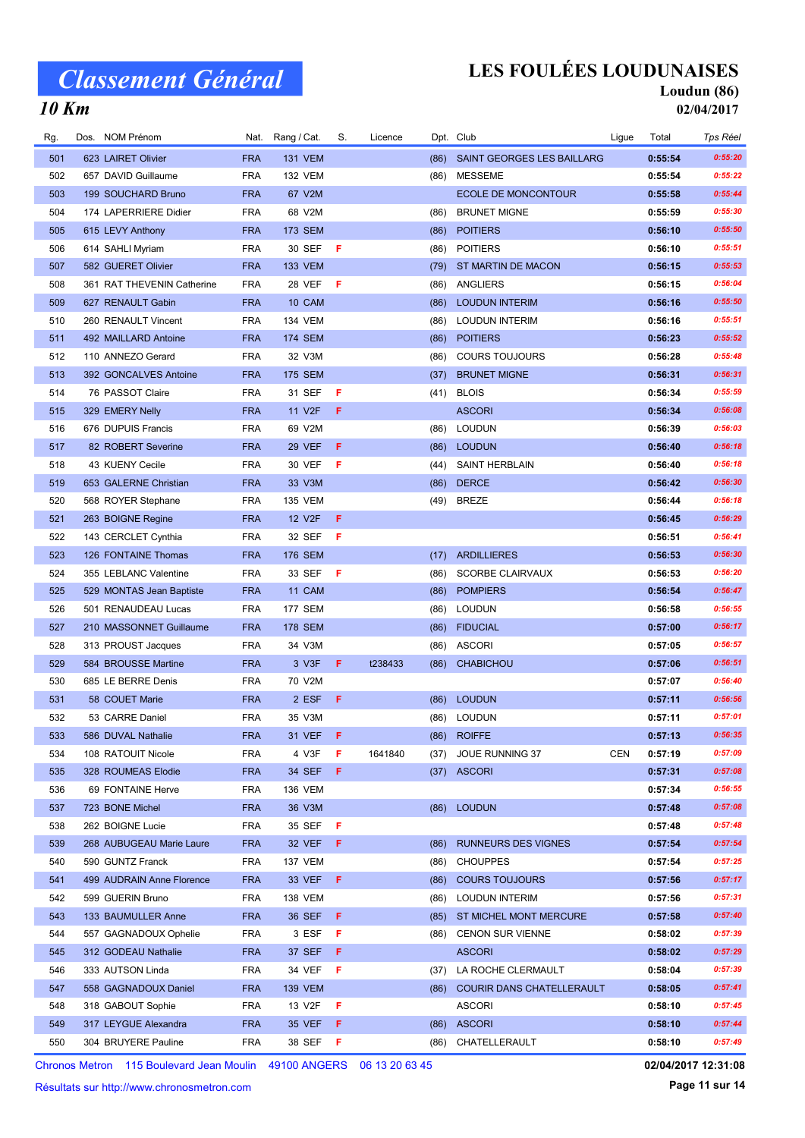## LES FOULÉES LOUDUNAISES

Nat. Rang / Cat. S. Licence Dpt. Club and the Suite of Ligue Total Tps Réel

#### Loudun (86) 02/04/2017

### 10 Km

| 501 | 623 LAIRET Olivier         | <b>FRA</b> | <b>131 VEM</b> |    |         | (86) | <b>SAINT GEORGES LES BAILLARG</b> |     | 0:55:54 | 0:55:20 |
|-----|----------------------------|------------|----------------|----|---------|------|-----------------------------------|-----|---------|---------|
| 502 | 657 DAVID Guillaume        | <b>FRA</b> | <b>132 VEM</b> |    |         | (86) | MESSEME                           |     | 0:55:54 | 0:55:22 |
| 503 | 199 SOUCHARD Bruno         | <b>FRA</b> | 67 V2M         |    |         |      | <b>ECOLE DE MONCONTOUR</b>        |     | 0:55:58 | 0:55:44 |
| 504 | 174 LAPERRIERE Didier      | <b>FRA</b> | 68 V2M         |    |         | (86) | <b>BRUNET MIGNE</b>               |     | 0:55:59 | 0:55:30 |
| 505 | 615 LEVY Anthony           | <b>FRA</b> | <b>173 SEM</b> |    |         | (86) | <b>POITIERS</b>                   |     | 0:56:10 | 0:55:50 |
| 506 | 614 SAHLI Myriam           | <b>FRA</b> | 30 SEF         | -F |         | (86) | <b>POITIERS</b>                   |     | 0:56:10 | 0:55:51 |
| 507 | 582 GUERET Olivier         | <b>FRA</b> | <b>133 VEM</b> |    |         | (79) | ST MARTIN DE MACON                |     | 0:56:15 | 0:55:53 |
| 508 | 361 RAT THEVENIN Catherine | <b>FRA</b> | 28 VEF         | F  |         | (86) | ANGLIERS                          |     | 0:56:15 | 0:56:04 |
| 509 | 627 RENAULT Gabin          | <b>FRA</b> | 10 CAM         |    |         | (86) | <b>LOUDUN INTERIM</b>             |     | 0:56:16 | 0:55:50 |
| 510 | 260 RENAULT Vincent        | <b>FRA</b> | 134 VEM        |    |         | (86) | <b>LOUDUN INTERIM</b>             |     | 0:56:16 | 0:55:51 |
| 511 | 492 MAILLARD Antoine       | <b>FRA</b> | 174 SEM        |    |         | (86) | <b>POITIERS</b>                   |     | 0:56:23 | 0:55:52 |
| 512 | 110 ANNEZO Gerard          | <b>FRA</b> | 32 V3M         |    |         | (86) | <b>COURS TOUJOURS</b>             |     | 0:56:28 | 0:55:48 |
| 513 | 392 GONCALVES Antoine      | <b>FRA</b> | <b>175 SEM</b> |    |         | (37) | <b>BRUNET MIGNE</b>               |     | 0:56:31 | 0:56:31 |
| 514 | 76 PASSOT Claire           | <b>FRA</b> | 31 SEF         | F  |         | (41) | <b>BLOIS</b>                      |     | 0:56:34 | 0:55:59 |
| 515 | 329 EMERY Nelly            | <b>FRA</b> | 11 V2F         | F  |         |      | <b>ASCORI</b>                     |     | 0:56:34 | 0:56:08 |
| 516 | 676 DUPUIS Francis         | <b>FRA</b> | 69 V2M         |    |         | (86) | LOUDUN                            |     | 0:56:39 | 0:56:03 |
| 517 | 82 ROBERT Severine         | <b>FRA</b> | <b>29 VEF</b>  | F  |         |      | (86) LOUDUN                       |     | 0:56:40 | 0:56:18 |
| 518 | 43 KUENY Cecile            | <b>FRA</b> | 30 VEF         | F  |         | (44) | <b>SAINT HERBLAIN</b>             |     | 0:56:40 | 0:56:18 |
| 519 | 653 GALERNE Christian      | <b>FRA</b> | 33 V3M         |    |         | (86) | <b>DERCE</b>                      |     | 0:56:42 | 0:56:30 |
| 520 | 568 ROYER Stephane         | <b>FRA</b> | <b>135 VEM</b> |    |         | (49) | <b>BREZE</b>                      |     | 0:56:44 | 0:56:18 |
| 521 | 263 BOIGNE Regine          | <b>FRA</b> | 12 V2F         | F  |         |      |                                   |     | 0:56:45 | 0:56:29 |
| 522 | 143 CERCLET Cynthia        | <b>FRA</b> | 32 SEF         | F  |         |      |                                   |     | 0:56:51 | 0:56:41 |
| 523 | 126 FONTAINE Thomas        | <b>FRA</b> | <b>176 SEM</b> |    |         | (17) | <b>ARDILLIERES</b>                |     | 0:56:53 | 0:56:30 |
| 524 | 355 LEBLANC Valentine      | <b>FRA</b> | 33 SEF         | -F |         | (86) | <b>SCORBE CLAIRVAUX</b>           |     | 0:56:53 | 0:56:20 |
| 525 | 529 MONTAS Jean Baptiste   | <b>FRA</b> | 11 CAM         |    |         | (86) | <b>POMPIERS</b>                   |     | 0:56:54 | 0:56:47 |
| 526 |                            | <b>FRA</b> | 177 SEM        |    |         |      | (86) LOUDUN                       |     | 0:56:58 | 0:56:55 |
|     | 501 RENAUDEAU Lucas        |            |                |    |         |      |                                   |     |         | 0:56:17 |
| 527 | 210 MASSONNET Guillaume    | <b>FRA</b> | 178 SEM        |    |         | (86) | <b>FIDUCIAL</b>                   |     | 0:57:00 |         |
| 528 | 313 PROUST Jacques         | <b>FRA</b> | 34 V3M         |    |         | (86) | ASCORI                            |     | 0:57:05 | 0:56:57 |
| 529 | 584 BROUSSE Martine        | <b>FRA</b> | 3 V3F          | F. | t238433 | (86) | <b>CHABICHOU</b>                  |     | 0:57:06 | 0:56:51 |
| 530 | 685 LE BERRE Denis         | <b>FRA</b> | 70 V2M         |    |         |      |                                   |     | 0:57:07 | 0:56:40 |
| 531 | 58 COUET Marie             | <b>FRA</b> | 2 ESF          | F  |         | (86) | <b>LOUDUN</b>                     |     | 0:57:11 | 0:56:56 |
| 532 | 53 CARRE Daniel            | <b>FRA</b> | 35 V3M         |    |         | (86) | LOUDUN                            |     | 0:57:11 | 0:57:01 |
| 533 | 586 DUVAL Nathalie         | <b>FRA</b> | 31 VEF         | -F |         |      | (86) ROIFFE                       |     | 0:57:13 | 0:56:35 |
| 534 | 108 RATOUIT Nicole         | FRA        | 4 V3F          |    | 1641840 |      | (37) JOUE RUNNING 37              | CEN | 0:57:19 | 0:57:09 |
| 535 | 328 ROUMEAS Elodie         | <b>FRA</b> | 34 SEF         | F  |         |      | $(37)$ ASCORI                     |     | 0:57:31 | 0:57:08 |
| 536 | 69 FONTAINE Herve          | <b>FRA</b> | <b>136 VEM</b> |    |         |      |                                   |     | 0:57:34 | 0:56:55 |
| 537 | 723 BONE Michel            | <b>FRA</b> | 36 V3M         |    |         |      | (86) LOUDUN                       |     | 0:57:48 | 0:57:08 |
| 538 | 262 BOIGNE Lucie           | <b>FRA</b> | 35 SEF         | Æ  |         |      |                                   |     | 0:57:48 | 0:57:48 |
| 539 | 268 AUBUGEAU Marie Laure   | <b>FRA</b> | 32 VEF         | F  |         | (86) | <b>RUNNEURS DES VIGNES</b>        |     | 0:57:54 | 0:57:54 |
| 540 | 590 GUNTZ Franck           | <b>FRA</b> | <b>137 VEM</b> |    |         | (86) | <b>CHOUPPES</b>                   |     | 0:57:54 | 0:57:25 |
| 541 | 499 AUDRAIN Anne Florence  | <b>FRA</b> | 33 VEF         | F  |         | (86) | <b>COURS TOUJOURS</b>             |     | 0:57:56 | 0:57:17 |
| 542 | 599 GUERIN Bruno           | FRA        | <b>138 VEM</b> |    |         | (86) | LOUDUN INTERIM                    |     | 0:57:56 | 0:57:31 |
| 543 | 133 BAUMULLER Anne         | <b>FRA</b> | 36 SEF         | F  |         |      | (85) ST MICHEL MONT MERCURE       |     | 0:57:58 | 0:57:40 |
| 544 | 557 GAGNADOUX Ophelie      | FRA        | 3 ESF          | F  |         |      | (86) CENON SUR VIENNE             |     | 0:58:02 | 0:57:39 |
| 545 | 312 GODEAU Nathalie        | <b>FRA</b> | 37 SEF         | F. |         |      | <b>ASCORI</b>                     |     | 0:58:02 | 0:57:29 |
| 546 | 333 AUTSON Linda           | FRA        | 34 VEF         | F  |         | (37) | LA ROCHE CLERMAULT                |     | 0:58:04 | 0:57:39 |
| 547 | 558 GAGNADOUX Daniel       | <b>FRA</b> | 139 VEM        |    |         |      | (86) COURIR DANS CHATELLERAULT    |     | 0:58:05 | 0:57:41 |
| 548 | 318 GABOUT Sophie          | <b>FRA</b> | 13 V2F         | F  |         |      | <b>ASCORI</b>                     |     | 0:58:10 | 0:57:45 |
| 549 | 317 LEYGUE Alexandra       | <b>FRA</b> | 35 VEF         | F. |         |      | (86) ASCORI                       |     | 0:58:10 | 0:57:44 |
| 550 | 304 BRUYERE Pauline        | <b>FRA</b> | 38 SEF         | F  |         |      | (86) CHATELLERAULT                |     | 0:58:10 | 0:57:49 |

Rg. Dos. NOM Prénom **Cat. Nat. Rang / Cat. S.** Licence Dpt. Club Club Ligue Total

Chronos Metron 115 Boulevard Jean Moulin 49100 ANGERS 06 13 20 63 45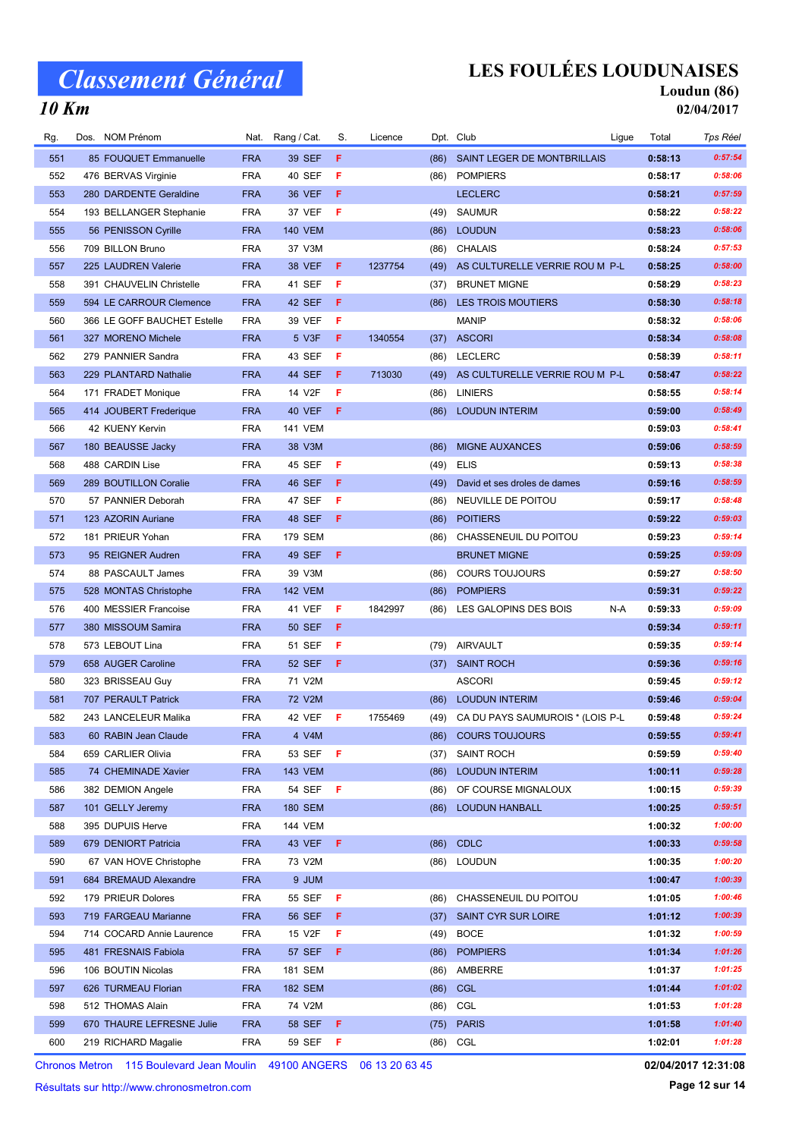### 10 Km

# LES FOULÉES LOUDUNAISES

# Loudun (86)

| Rg. | Dos. NOM Prénom             |            | Nat. Rang / Cat. | S.  | Licence |      | Dpt. Club                             | Ligue | Total   | Tps Réel |
|-----|-----------------------------|------------|------------------|-----|---------|------|---------------------------------------|-------|---------|----------|
| 551 | 85 FOUQUET Emmanuelle       | <b>FRA</b> | 39 SEF           | F   |         | (86) | SAINT LEGER DE MONTBRILLAIS           |       | 0:58:13 | 0:57:54  |
| 552 | 476 BERVAS Virginie         | <b>FRA</b> | 40 SEF           | F   |         | (86) | <b>POMPIERS</b>                       |       | 0:58:17 | 0:58:06  |
| 553 | 280 DARDENTE Geraldine      | <b>FRA</b> | 36 VEF           | F   |         |      | <b>LECLERC</b>                        |       | 0:58:21 | 0:57:59  |
| 554 | 193 BELLANGER Stephanie     | <b>FRA</b> | 37 VEF           | F   |         | (49) | <b>SAUMUR</b>                         |       | 0:58:22 | 0:58:22  |
| 555 | 56 PENISSON Cyrille         | <b>FRA</b> | <b>140 VEM</b>   |     |         | (86) | <b>LOUDUN</b>                         |       | 0:58:23 | 0:58:06  |
| 556 | 709 BILLON Bruno            | <b>FRA</b> | 37 V3M           |     |         | (86) | <b>CHALAIS</b>                        |       | 0:58:24 | 0:57:53  |
| 557 | 225 LAUDREN Valerie         | <b>FRA</b> | 38 VEF           | F   | 1237754 | (49) | AS CULTURELLE VERRIE ROU M P-L        |       | 0:58:25 | 0:58:00  |
| 558 | 391 CHAUVELIN Christelle    | <b>FRA</b> | 41 SEF           | F   |         | (37) | <b>BRUNET MIGNE</b>                   |       | 0:58:29 | 0:58:23  |
| 559 | 594 LE CARROUR Clemence     | <b>FRA</b> | 42 SEF           | F   |         | (86) | LES TROIS MOUTIERS                    |       | 0:58:30 | 0:58:18  |
| 560 | 366 LE GOFF BAUCHET Estelle | <b>FRA</b> | 39 VEF           | F   |         |      | <b>MANIP</b>                          |       | 0:58:32 | 0:58:06  |
| 561 | 327 MORENO Michele          | <b>FRA</b> | 5 V3F            | F   | 1340554 | (37) | <b>ASCORI</b>                         |       | 0:58:34 | 0:58:08  |
| 562 | 279 PANNIER Sandra          | <b>FRA</b> | 43 SEF           | F   |         | (86) | LECLERC                               |       | 0:58:39 | 0:58:11  |
| 563 | 229 PLANTARD Nathalie       | <b>FRA</b> | 44 SEF           | F   | 713030  | (49) | AS CULTURELLE VERRIE ROU M P-L        |       | 0:58:47 | 0:58:22  |
| 564 | 171 FRADET Monique          | <b>FRA</b> | 14 V2F           | F   |         | (86) | <b>LINIERS</b>                        |       | 0:58:55 | 0:58:14  |
| 565 | 414 JOUBERT Frederique      | <b>FRA</b> | 40 VEF           | F   |         | (86) | <b>LOUDUN INTERIM</b>                 |       | 0:59:00 | 0:58:49  |
| 566 | 42 KUENY Kervin             | <b>FRA</b> | <b>141 VEM</b>   |     |         |      |                                       |       | 0:59:03 | 0:58:41  |
| 567 | 180 BEAUSSE Jacky           | <b>FRA</b> | 38 V3M           |     |         | (86) | <b>MIGNE AUXANCES</b>                 |       | 0:59:06 | 0:58:59  |
| 568 | 488 CARDIN Lise             | <b>FRA</b> | 45 SEF           | F   |         | (49) | <b>ELIS</b>                           |       | 0:59:13 | 0:58:38  |
| 569 | 289 BOUTILLON Coralie       | <b>FRA</b> | 46 SEF           | F   |         | (49) | David et ses droles de dames          |       | 0:59:16 | 0:58:59  |
| 570 | 57 PANNIER Deborah          | <b>FRA</b> | 47 SEF           | F   |         | (86) | NEUVILLE DE POITOU                    |       | 0:59:17 | 0:58:48  |
| 571 | 123 AZORIN Auriane          | <b>FRA</b> | 48 SEF           | F   |         | (86) | <b>POITIERS</b>                       |       | 0:59:22 | 0:59:03  |
| 572 | 181 PRIEUR Yohan            | <b>FRA</b> | 179 SEM          |     |         | (86) | CHASSENEUIL DU POITOU                 |       | 0:59:23 | 0:59:14  |
| 573 | 95 REIGNER Audren           | <b>FRA</b> | 49 SEF           | F   |         |      | <b>BRUNET MIGNE</b>                   |       | 0:59:25 | 0:59:09  |
| 574 | 88 PASCAULT James           | <b>FRA</b> | 39 V3M           |     |         | (86) | <b>COURS TOUJOURS</b>                 |       | 0:59:27 | 0:58:50  |
| 575 | 528 MONTAS Christophe       | <b>FRA</b> | <b>142 VEM</b>   |     |         | (86) | <b>POMPIERS</b>                       |       | 0:59:31 | 0:59:22  |
| 576 | 400 MESSIER Francoise       | <b>FRA</b> | 41 VEF           | F   | 1842997 | (86) | LES GALOPINS DES BOIS                 | N-A   | 0:59:33 | 0:59:09  |
| 577 | 380 MISSOUM Samira          | <b>FRA</b> | 50 SEF           | F   |         |      |                                       |       | 0:59:34 | 0:59:11  |
| 578 | 573 LEBOUT Lina             | <b>FRA</b> | 51 SEF           | F   |         | (79) | AIRVAULT                              |       | 0:59:35 | 0:59:14  |
| 579 | 658 AUGER Caroline          | <b>FRA</b> | 52 SEF           | F   |         | (37) | <b>SAINT ROCH</b>                     |       | 0:59:36 | 0:59:16  |
| 580 | 323 BRISSEAU Guy            | <b>FRA</b> | 71 V2M           |     |         |      | <b>ASCORI</b>                         |       | 0:59:45 | 0:59:12  |
| 581 | 707 PERAULT Patrick         | <b>FRA</b> | 72 V2M           |     |         | (86) | <b>LOUDUN INTERIM</b>                 |       | 0:59:46 | 0:59:04  |
| 582 | 243 LANCELEUR Malika        | <b>FRA</b> | 42 VEF           | - F | 1755469 |      | (49) CA DU PAYS SAUMUROIS * (LOIS P-L |       | 0:59:48 | 0:59:24  |
| 583 | 60 RABIN Jean Claude        | <b>FRA</b> | 4 V4M            |     |         |      | (86) COURS TOUJOURS                   |       | 0:59:55 | 0:59:41  |
| 584 | 659 CARLIER Olivia          | <b>FRA</b> | 53 SEF <b>F</b>  |     |         | (37) | SAINT ROCH                            |       | 0:59:59 | 0:59:40  |
| 585 | 74 CHEMINADE Xavier         | <b>FRA</b> | <b>143 VEM</b>   |     |         | (86) | <b>LOUDUN INTERIM</b>                 |       | 1:00:11 | 0:59:28  |
| 586 | 382 DEMION Angele           | <b>FRA</b> | 54 SEF <b>F</b>  |     |         | (86) | OF COURSE MIGNALOUX                   |       | 1:00:15 | 0:59:39  |
| 587 | 101 GELLY Jeremy            | <b>FRA</b> | 180 SEM          |     |         | (86) | <b>LOUDUN HANBALL</b>                 |       | 1:00:25 | 0:59:51  |
| 588 | 395 DUPUIS Herve            | <b>FRA</b> | 144 VEM          |     |         |      |                                       |       | 1:00:32 | 1:00:00  |
| 589 | 679 DENIORT Patricia        | <b>FRA</b> | 43 VEF           | - F |         |      | (86) CDLC                             |       | 1:00:33 | 0:59:58  |
| 590 | 67 VAN HOVE Christophe      | <b>FRA</b> | 73 V2M           |     |         |      | (86) LOUDUN                           |       | 1:00:35 | 1:00:20  |
| 591 | 684 BREMAUD Alexandre       | <b>FRA</b> | 9 JUM            |     |         |      |                                       |       | 1:00:47 | 1:00:39  |
| 592 | 179 PRIEUR Dolores          | <b>FRA</b> | 55 SEF           | F   |         | (86) | CHASSENEUIL DU POITOU                 |       | 1:01:05 | 1:00:46  |
| 593 | 719 FARGEAU Marianne        | <b>FRA</b> | 56 SEF           | F   |         | (37) | SAINT CYR SUR LOIRE                   |       | 1:01:12 | 1:00:39  |
| 594 | 714 COCARD Annie Laurence   | <b>FRA</b> | 15 V2F           | F   |         |      | (49) BOCE                             |       | 1:01:32 | 1:00:59  |
| 595 | 481 FRESNAIS Fabiola        | <b>FRA</b> | <b>57 SEF</b>    | F   |         | (86) | <b>POMPIERS</b>                       |       | 1:01:34 | 1:01:26  |
| 596 | 106 BOUTIN Nicolas          | <b>FRA</b> | 181 SEM          |     |         | (86) | AMBERRE                               |       | 1:01:37 | 1:01:25  |
| 597 | 626 TURMEAU Florian         | <b>FRA</b> | 182 SEM          |     |         |      | (86) CGL                              |       | 1:01:44 | 1:01:02  |
| 598 | 512 THOMAS Alain            | <b>FRA</b> | 74 V2M           |     |         |      | (86) CGL                              |       | 1:01:53 | 1:01:28  |
| 599 | 670 THAURE LEFRESNE Julie   | <b>FRA</b> | 58 SEF F         |     |         | (75) | <b>PARIS</b>                          |       | 1:01:58 | 1:01:40  |
| 600 | 219 RICHARD Magalie         | FRA        | 59 SEF           | - F |         |      | (86) CGL                              |       | 1:02:01 | 1:01:28  |
|     |                             |            |                  |     |         |      |                                       |       |         |          |

Chronos Metron 115 Boulevard Jean Moulin 49100 ANGERS 06 13 20 63 45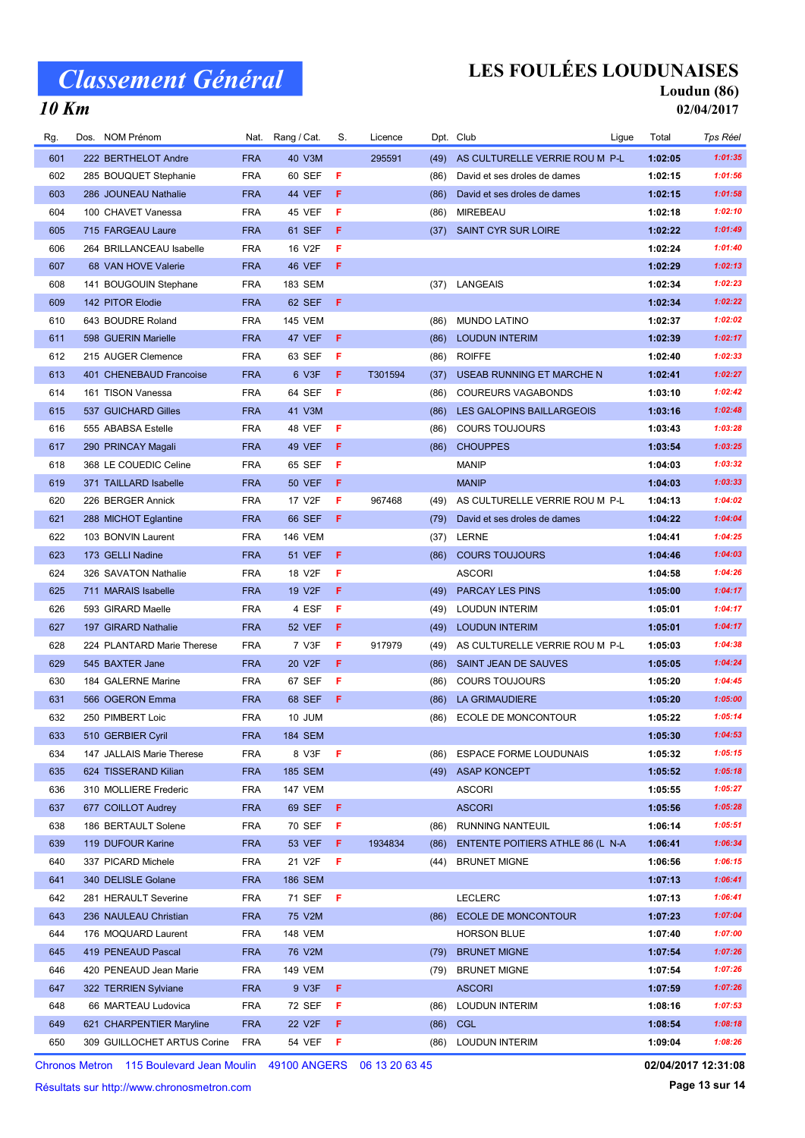# LES FOULÉES LOUDUNAISES

#### Loudun (86) 02/04/2017

### 10 Km

| Rg. | Dos. NOM Prénom             |            | Nat. Rang / Cat. | S.  | Licence |      | Dpt. Club                        | Ligue | Total   | Tps Réel |
|-----|-----------------------------|------------|------------------|-----|---------|------|----------------------------------|-------|---------|----------|
| 601 | 222 BERTHELOT Andre         | <b>FRA</b> | 40 V3M           |     | 295591  | (49) | AS CULTURELLE VERRIE ROU M P-L   |       | 1:02:05 | 1:01:35  |
| 602 | 285 BOUQUET Stephanie       | <b>FRA</b> | 60 SEF           | F   |         | (86) | David et ses droles de dames     |       | 1:02:15 | 1:01:56  |
| 603 | 286 JOUNEAU Nathalie        | <b>FRA</b> | 44 VEF           | F   |         | (86) | David et ses droles de dames     |       | 1:02:15 | 1:01:58  |
| 604 | 100 CHAVET Vanessa          | <b>FRA</b> | 45 VEF           | F   |         | (86) | MIREBEAU                         |       | 1:02:18 | 1:02:10  |
| 605 | 715 FARGEAU Laure           | <b>FRA</b> | 61 SEF           | F   |         | (37) | SAINT CYR SUR LOIRE              |       | 1:02:22 | 1:01:49  |
| 606 | 264 BRILLANCEAU Isabelle    | <b>FRA</b> | 16 V2F           | F   |         |      |                                  |       | 1:02:24 | 1:01:40  |
| 607 | 68 VAN HOVE Valerie         | <b>FRA</b> | 46 VEF           | F   |         |      |                                  |       | 1:02:29 | 1:02:13  |
| 608 | 141 BOUGOUIN Stephane       | <b>FRA</b> | 183 SEM          |     |         | (37) | LANGEAIS                         |       | 1:02:34 | 1:02:23  |
| 609 | 142 PITOR Elodie            | <b>FRA</b> | 62 SEF           | F   |         |      |                                  |       | 1:02:34 | 1:02:22  |
| 610 | 643 BOUDRE Roland           | <b>FRA</b> | <b>145 VEM</b>   |     |         | (86) | <b>MUNDO LATINO</b>              |       | 1:02:37 | 1:02:02  |
| 611 | 598 GUERIN Marielle         | <b>FRA</b> | 47 VEF           | F   |         | (86) | <b>LOUDUN INTERIM</b>            |       | 1:02:39 | 1:02:17  |
| 612 | 215 AUGER Clemence          | <b>FRA</b> | 63 SEF           | F   |         | (86) | <b>ROIFFE</b>                    |       | 1:02:40 | 1:02:33  |
| 613 | 401 CHENEBAUD Francoise     | <b>FRA</b> | 6 V3F            | F.  | T301594 | (37) | USEAB RUNNING ET MARCHE N        |       | 1:02:41 | 1:02:27  |
| 614 | 161 TISON Vanessa           | <b>FRA</b> | 64 SEF           | F   |         | (86) | <b>COUREURS VAGABONDS</b>        |       | 1:03:10 | 1:02:42  |
| 615 | 537 GUICHARD Gilles         | <b>FRA</b> | 41 V3M           |     |         | (86) | LES GALOPINS BAILLARGEOIS        |       | 1:03:16 | 1:02:48  |
| 616 | 555 ABABSA Estelle          | <b>FRA</b> | 48 VEF           | F   |         | (86) | <b>COURS TOUJOURS</b>            |       | 1:03:43 | 1:03:28  |
| 617 | 290 PRINCAY Magali          | <b>FRA</b> | 49 VEF           | F   |         | (86) | <b>CHOUPPES</b>                  |       | 1:03:54 | 1:03:25  |
| 618 | 368 LE COUEDIC Celine       | <b>FRA</b> | 65 SEF           | F   |         |      | <b>MANIP</b>                     |       | 1:04:03 | 1:03:32  |
| 619 | 371 TAILLARD Isabelle       | <b>FRA</b> | <b>50 VEF</b>    | F   |         |      | <b>MANIP</b>                     |       | 1:04:03 | 1:03:33  |
| 620 | 226 BERGER Annick           | <b>FRA</b> | 17 V2F           | F   | 967468  | (49) | AS CULTURELLE VERRIE ROU M P-L   |       | 1:04:13 | 1:04:02  |
| 621 | 288 MICHOT Eglantine        | <b>FRA</b> | 66 SEF           | F   |         | (79) | David et ses droles de dames     |       | 1:04:22 | 1:04:04  |
| 622 | 103 BONVIN Laurent          | <b>FRA</b> | <b>146 VEM</b>   |     |         | (37) | LERNE                            |       | 1:04:41 | 1:04:25  |
| 623 | 173 GELLI Nadine            | <b>FRA</b> | <b>51 VEF</b>    | F   |         | (86) | <b>COURS TOUJOURS</b>            |       | 1:04:46 | 1:04:03  |
| 624 | 326 SAVATON Nathalie        | <b>FRA</b> | 18 V2F           | F   |         |      | <b>ASCORI</b>                    |       | 1:04:58 | 1:04:26  |
| 625 | 711 MARAIS Isabelle         | <b>FRA</b> | 19 V2F           | F   |         | (49) | PARCAY LES PINS                  |       | 1:05:00 | 1:04:17  |
| 626 | 593 GIRARD Maelle           | <b>FRA</b> | 4 ESF            | F   |         | (49) | <b>LOUDUN INTERIM</b>            |       | 1:05:01 | 1:04:17  |
| 627 | 197 GIRARD Nathalie         | <b>FRA</b> | <b>52 VEF</b>    | F   |         | (49) | <b>LOUDUN INTERIM</b>            |       | 1:05:01 | 1:04:17  |
| 628 | 224 PLANTARD Marie Therese  | <b>FRA</b> | 7 V3F            | F   | 917979  | (49) | AS CULTURELLE VERRIE ROU M P-L   |       | 1:05:03 | 1:04:38  |
| 629 | 545 BAXTER Jane             | <b>FRA</b> | 20 V2F           | F   |         | (86) | SAINT JEAN DE SAUVES             |       | 1:05:05 | 1:04:24  |
| 630 | 184 GALERNE Marine          | <b>FRA</b> | 67 SEF           | F   |         | (86) | <b>COURS TOUJOURS</b>            |       | 1:05:20 | 1:04:45  |
| 631 | 566 OGERON Emma             | <b>FRA</b> | 68 SEF           | F   |         | (86) | LA GRIMAUDIERE                   |       | 1:05:20 | 1:05:00  |
| 632 | 250 PIMBERT Loic            | <b>FRA</b> | 10 JUM           |     |         | (86) | <b>ECOLE DE MONCONTOUR</b>       |       | 1:05:22 | 1:05:14  |
| 633 | 510 GERBIER Cyril           | <b>FRA</b> | <b>184 SEM</b>   |     |         |      |                                  |       | 1:05:30 | 1:04:53  |
| 634 | 147 JALLAIS Marie Therese   | <b>FRA</b> | 8 V3F            | -F  |         | (86) | <b>ESPACE FORME LOUDUNAIS</b>    |       | 1:05:32 | 1:05:15  |
| 635 | 624 TISSERAND Kilian        | <b>FRA</b> | <b>185 SEM</b>   |     |         |      | (49) ASAP KONCEPT                |       | 1:05:52 | 1:05:18  |
| 636 | 310 MOLLIERE Frederic       | <b>FRA</b> | <b>147 VEM</b>   |     |         |      | ASCORI                           |       | 1:05:55 | 1:05:27  |
| 637 | 677 COILLOT Audrey          | <b>FRA</b> | 69 SEF           | F.  |         |      | <b>ASCORI</b>                    |       | 1:05:56 | 1:05:28  |
| 638 | 186 BERTAULT Solene         | <b>FRA</b> | 70 SEF           | F   |         | (86) | <b>RUNNING NANTEUIL</b>          |       | 1:06:14 | 1:05:51  |
| 639 | 119 DUFOUR Karine           | <b>FRA</b> | 53 VEF           | F   | 1934834 | (86) | ENTENTE POITIERS ATHLE 86 (L N-A |       | 1:06:41 | 1:06:34  |
| 640 | 337 PICARD Michele          | <b>FRA</b> | 21 V2F           | F   |         | (44) | <b>BRUNET MIGNE</b>              |       | 1:06:56 | 1:06:15  |
| 641 | 340 DELISLE Golane          | <b>FRA</b> | <b>186 SEM</b>   |     |         |      |                                  |       | 1:07:13 | 1:06:41  |
| 642 | 281 HERAULT Severine        | <b>FRA</b> | 71 SEF <b>F</b>  |     |         |      | <b>LECLERC</b>                   |       | 1:07:13 | 1:06:41  |
| 643 | 236 NAULEAU Christian       | <b>FRA</b> | 75 V2M           |     |         | (86) | <b>ECOLE DE MONCONTOUR</b>       |       | 1:07:23 | 1:07:04  |
| 644 | 176 MOQUARD Laurent         | <b>FRA</b> | 148 VEM          |     |         |      | <b>HORSON BLUE</b>               |       | 1:07:40 | 1:07:00  |
| 645 | 419 PENEAUD Pascal          | <b>FRA</b> | 76 V2M           |     |         | (79) | <b>BRUNET MIGNE</b>              |       | 1:07:54 | 1:07:26  |
| 646 | 420 PENEAUD Jean Marie      | <b>FRA</b> | 149 VEM          |     |         | (79) | <b>BRUNET MIGNE</b>              |       | 1:07:54 | 1:07:26  |
| 647 | 322 TERRIEN Sylviane        | <b>FRA</b> | 9 V3F            | F   |         |      | <b>ASCORI</b>                    |       | 1:07:59 | 1:07:26  |
| 648 | 66 MARTEAU Ludovica         | <b>FRA</b> | 72 SEF           | F   |         | (86) | <b>LOUDUN INTERIM</b>            |       | 1:08:16 | 1:07:53  |
| 649 | 621 CHARPENTIER Maryline    | <b>FRA</b> | 22 V2F           | F.  |         | (86) | <b>CGL</b>                       |       | 1:08:54 | 1:08:18  |
| 650 | 309 GUILLOCHET ARTUS Corine | <b>FRA</b> | 54 VEF           | - F |         |      | (86) LOUDUN INTERIM              |       | 1:09:04 | 1:08:26  |
|     |                             |            |                  |     |         |      |                                  |       |         |          |

Chronos Metron 115 Boulevard Jean Moulin 49100 ANGERS 06 13 20 63 45